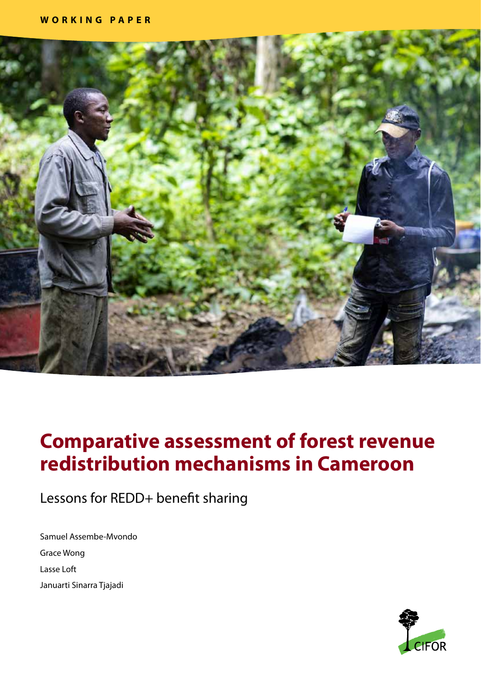

# **Comparative assessment of forest revenue redistribution mechanisms in Cameroon**

Lessons for REDD+ benefit sharing

Samuel Assembe-Mvondo Grace Wong Lasse Loft Januarti Sinarra Tjajadi

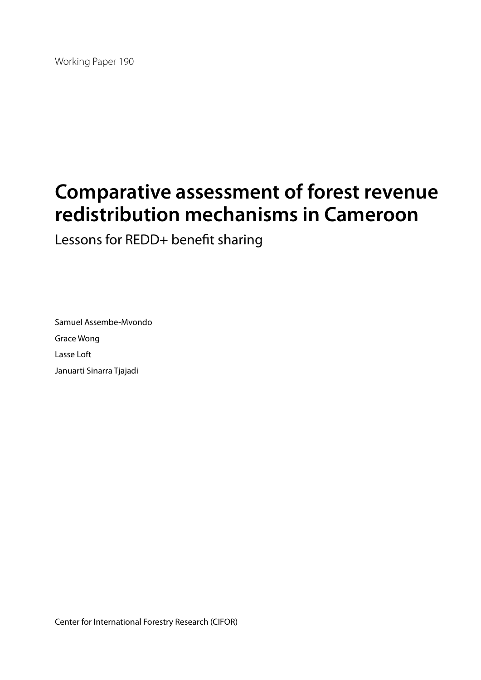Working Paper 190

# **Comparative assessment of forest revenue redistribution mechanisms in Cameroon**

Lessons for REDD+ benefit sharing

Samuel Assembe-Mvondo Grace Wong Lasse Loft Januarti Sinarra Tjajadi

Center for International Forestry Research (CIFOR)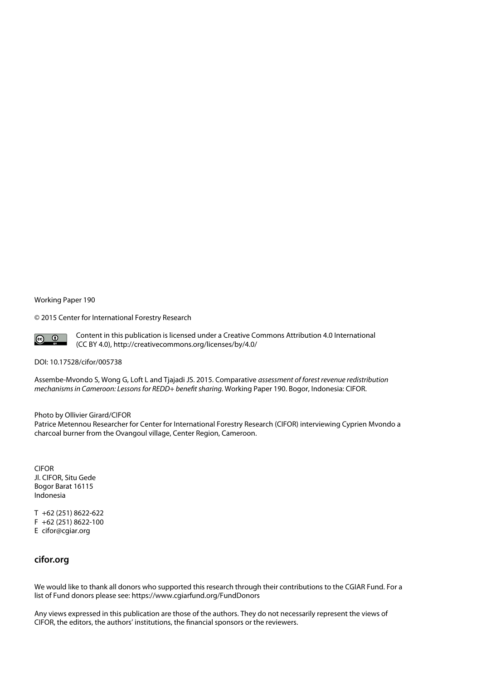#### Working Paper 190

© 2015 Center for International Forestry Research



Content in this publication is licensed under a Creative Commons Attribution 4.0 International (CC BY 4.0), http://creativecommons.org/licenses/by/4.0/

#### DOI: 10.17528/cifor/005738

Assembe-Mvondo S, Wong G, Loft L and Tjajadi JS. 2015. Comparative *assessment of forest revenue redistribution mechanisms in Cameroon: Lessons for REDD+ benefit sharing.* Working Paper 190. Bogor, Indonesia: CIFOR.

#### Photo by Ollivier Girard/CIFOR

Patrice Metennou Researcher for Center for International Forestry Research (CIFOR) interviewing Cyprien Mvondo a charcoal burner from the Ovangoul village, Center Region, Cameroon.

CIFOR Jl. CIFOR, Situ Gede Bogor Barat 16115 Indonesia

T +62 (251) 8622-622 F +62 (251) 8622-100 E cifor@cgiar.org

#### **cifor.org**

We would like to thank all donors who supported this research through their contributions to the CGIAR Fund. For a list of Fund donors please see: https://www.cgiarfund.org/FundDonors

Any views expressed in this publication are those of the authors. They do not necessarily represent the views of CIFOR, the editors, the authors' institutions, the financial sponsors or the reviewers.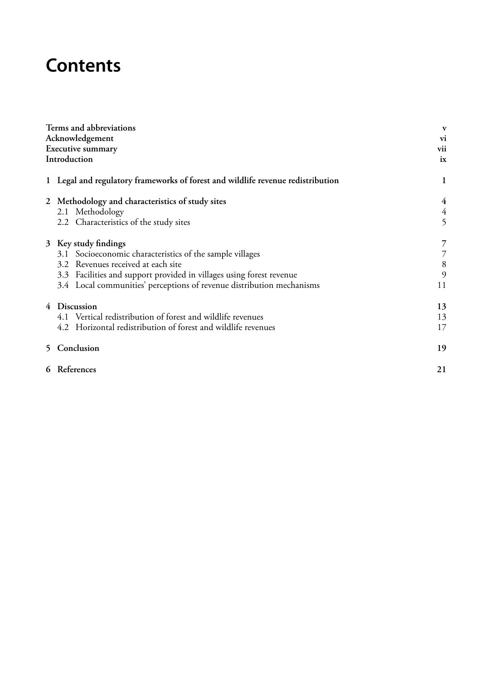# **Contents**

| Terms and abbreviations                                                         | V              |
|---------------------------------------------------------------------------------|----------------|
| Acknowledgement                                                                 | vi             |
| <b>Executive summary</b>                                                        | vii            |
| Introduction                                                                    | ix             |
| 1 Legal and regulatory frameworks of forest and wildlife revenue redistribution | $\mathbf{1}$   |
| 2 Methodology and characteristics of study sites                                | $\overline{4}$ |
| 2.1 Methodology                                                                 |                |
| 2.2 Characteristics of the study sites                                          | $\frac{4}{5}$  |
| 3 Key study findings                                                            | 7              |
| 3.1 Socioeconomic characteristics of the sample villages                        |                |
| 3.2 Revenues received at each site                                              | 8              |
| 3.3 Facilities and support provided in villages using forest revenue            | 9              |
| 3.4 Local communities' perceptions of revenue distribution mechanisms           | 11             |
| 4 Discussion                                                                    | 13             |
| 4.1 Vertical redistribution of forest and wildlife revenues                     | 13             |
| 4.2 Horizontal redistribution of forest and wildlife revenues                   | 17             |
| 5 Conclusion                                                                    | 19             |
| 6 References                                                                    | 21             |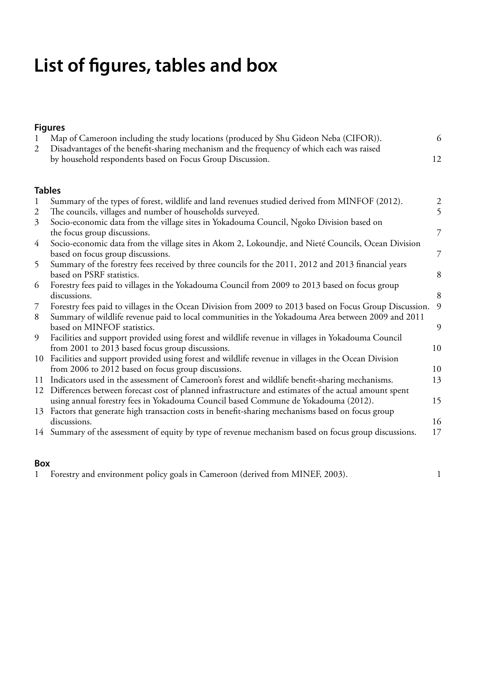# **List of figures, tables and box**

### **Figures**

| Map of Cameroon including the study locations (produced by Shu Gideon Neba (CIFOR)).        |    |  |  |  |
|---------------------------------------------------------------------------------------------|----|--|--|--|
| 2 Disadvantages of the benefit-sharing mechanism and the frequency of which each was raised |    |  |  |  |
| by household respondents based on Focus Group Discussion.                                   | 12 |  |  |  |
|                                                                                             |    |  |  |  |
|                                                                                             |    |  |  |  |
| <b>Tables</b>                                                                               |    |  |  |  |

| $\mathbf{1}$ | Summary of the types of forest, wildlife and land revenues studied derived from MINFOF (2012).          | $\overline{c}$ |
|--------------|---------------------------------------------------------------------------------------------------------|----------------|
| 2            | The councils, villages and number of households surveyed.                                               | 5              |
| 3            | Socio-economic data from the village sites in Yokadouma Council, Ngoko Division based on                |                |
|              | the focus group discussions.                                                                            | 7              |
| 4            | Socio-economic data from the village sites in Akom 2, Lokoundje, and Nieté Councils, Ocean Division     |                |
|              | based on focus group discussions.                                                                       | 7              |
| 5            | Summary of the forestry fees received by three councils for the 2011, 2012 and 2013 financial years     |                |
|              | based on PSRF statistics.                                                                               | 8              |
| 6            | Forestry fees paid to villages in the Yokadouma Council from 2009 to 2013 based on focus group          |                |
|              | discussions.                                                                                            | 8              |
| 7            | Forestry fees paid to villages in the Ocean Division from 2009 to 2013 based on Focus Group Discussion. | 9              |
| 8            | Summary of wildlife revenue paid to local communities in the Yokadouma Area between 2009 and 2011       |                |
|              | based on MINFOF statistics.                                                                             | 9              |
| 9            | Facilities and support provided using forest and wildlife revenue in villages in Yokadouma Council      |                |
|              | from 2001 to 2013 based focus group discussions.                                                        | 10             |
| 10           | Facilities and support provided using forest and wildlife revenue in villages in the Ocean Division     |                |
|              | from 2006 to 2012 based on focus group discussions.                                                     | 10             |
| 11           | Indicators used in the assessment of Cameroon's forest and wildlife benefit-sharing mechanisms.         | 13             |
| 12           | Differences between forecast cost of planned infrastructure and estimates of the actual amount spent    |                |
|              | using annual forestry fees in Yokadouma Council based Commune de Yokadouma (2012).                      | 15             |
|              | 13 Factors that generate high transaction costs in benefit-sharing mechanisms based on focus group      |                |
|              | discussions.                                                                                            | 16             |
|              | 14 Summary of the assessment of equity by type of revenue mechanism based on focus group discussions.   | 17             |
|              |                                                                                                         |                |

### **Box**

1 Forestry and environment policy goals in Cameroon (derived from MINEF, 2003). 1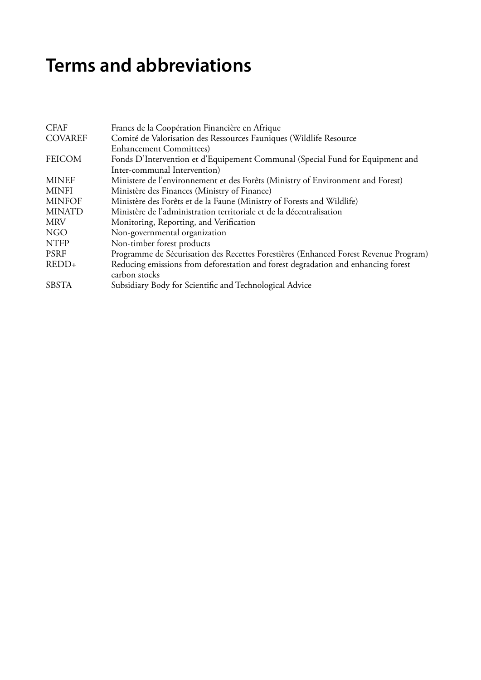# **Terms and abbreviations**

| <b>CFAF</b>    | Francs de la Coopération Financière en Afrique                                                     |
|----------------|----------------------------------------------------------------------------------------------------|
| <b>COVAREF</b> | Comité de Valorisation des Ressources Fauniques (Wildlife Resource                                 |
|                | <b>Enhancement Committees</b> )                                                                    |
| <b>FEICOM</b>  | Fonds D'Intervention et d'Equipement Communal (Special Fund for Equipment and                      |
|                | Inter-communal Intervention)                                                                       |
| <b>MINEF</b>   | Ministere de l'environnement et des Forêts (Ministry of Environment and Forest)                    |
| <b>MINFI</b>   | Ministère des Finances (Ministry of Finance)                                                       |
| <b>MINFOF</b>  | Ministère des Forêts et de la Faune (Ministry of Forests and Wildlife)                             |
| <b>MINATD</b>  | Ministère de l'administration territoriale et de la décentralisation                               |
| <b>MRV</b>     | Monitoring, Reporting, and Verification                                                            |
| NGO            | Non-governmental organization                                                                      |
| <b>NTFP</b>    | Non-timber forest products                                                                         |
| <b>PSRF</b>    | Programme de Sécurisation des Recettes Forestières (Enhanced Forest Revenue Program)               |
| $REDD+$        | Reducing emissions from deforestation and forest degradation and enhancing forest<br>carbon stocks |
| <b>SBSTA</b>   | Subsidiary Body for Scientific and Technological Advice                                            |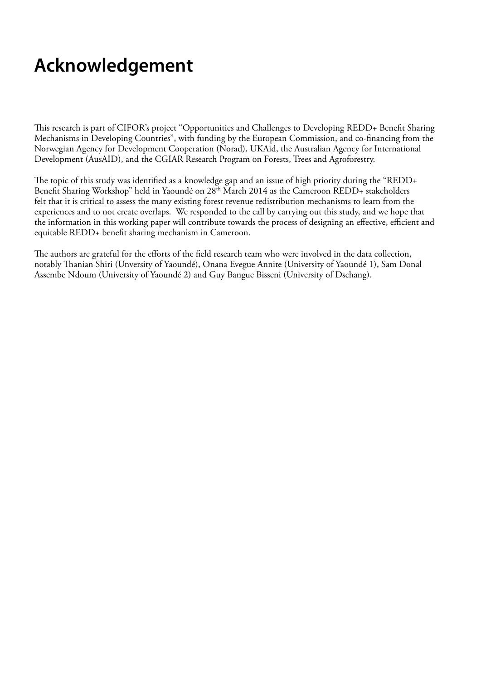# **Acknowledgement**

This research is part of CIFOR's project "Opportunities and Challenges to Developing REDD+ Benefit Sharing Mechanisms in Developing Countries", with funding by the European Commission, and co-financing from the Norwegian Agency for Development Cooperation (Norad), UKAid, the Australian Agency for International Development (AusAID), and the CGIAR Research Program on Forests, Trees and Agroforestry.

The topic of this study was identified as a knowledge gap and an issue of high priority during the "REDD+ Benefit Sharing Workshop" held in Yaoundé on 28<sup>th</sup> March 2014 as the Cameroon REDD+ stakeholders felt that it is critical to assess the many existing forest revenue redistribution mechanisms to learn from the experiences and to not create overlaps. We responded to the call by carrying out this study, and we hope that the information in this working paper will contribute towards the process of designing an effective, efficient and equitable REDD+ benefit sharing mechanism in Cameroon.

The authors are grateful for the efforts of the field research team who were involved in the data collection, notably Thanian Shiri (Unversity of Yaoundé), Onana Evegue Annite (University of Yaoundé 1), Sam Donal Assembe Ndoum (University of Yaoundé 2) and Guy Bangue Bisseni (University of Dschang).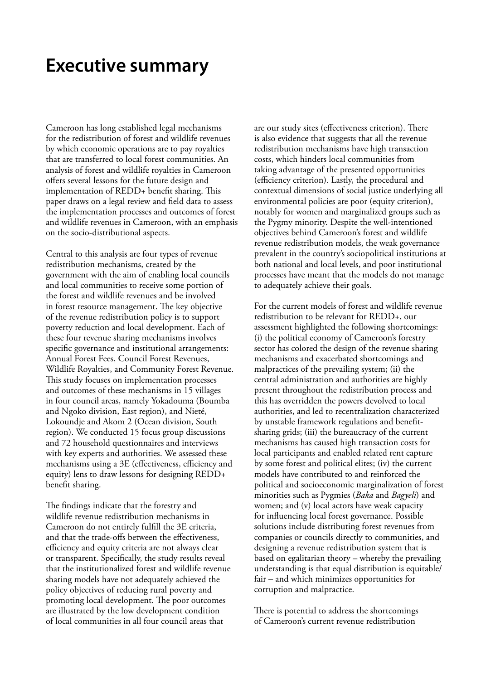### **Executive summary**

Cameroon has long established legal mechanisms for the redistribution of forest and wildlife revenues by which economic operations are to pay royalties that are transferred to local forest communities. An analysis of forest and wildlife royalties in Cameroon offers several lessons for the future design and implementation of REDD+ benefit sharing. This paper draws on a legal review and field data to assess the implementation processes and outcomes of forest and wildlife revenues in Cameroon, with an emphasis on the socio-distributional aspects.

Central to this analysis are four types of revenue redistribution mechanisms, created by the government with the aim of enabling local councils and local communities to receive some portion of the forest and wildlife revenues and be involved in forest resource management. The key objective of the revenue redistribution policy is to support poverty reduction and local development. Each of these four revenue sharing mechanisms involves specific governance and institutional arrangements: Annual Forest Fees, Council Forest Revenues, Wildlife Royalties, and Community Forest Revenue. This study focuses on implementation processes and outcomes of these mechanisms in 15 villages in four council areas, namely Yokadouma (Boumba and Ngoko division, East region), and Nieté, Lokoundje and Akom 2 (Ocean division, South region). We conducted 15 focus group discussions and 72 household questionnaires and interviews with key experts and authorities. We assessed these mechanisms using a 3E (effectiveness, efficiency and equity) lens to draw lessons for designing REDD+ benefit sharing.

The findings indicate that the forestry and wildlife revenue redistribution mechanisms in Cameroon do not entirely fulfill the 3E criteria, and that the trade-offs between the effectiveness, efficiency and equity criteria are not always clear or transparent. Specifically, the study results reveal that the institutionalized forest and wildlife revenue sharing models have not adequately achieved the policy objectives of reducing rural poverty and promoting local development. The poor outcomes are illustrated by the low development condition of local communities in all four council areas that

are our study sites (effectiveness criterion). There is also evidence that suggests that all the revenue redistribution mechanisms have high transaction costs, which hinders local communities from taking advantage of the presented opportunities (efficiency criterion). Lastly, the procedural and contextual dimensions of social justice underlying all environmental policies are poor (equity criterion), notably for women and marginalized groups such as the Pygmy minority. Despite the well-intentioned objectives behind Cameroon's forest and wildlife revenue redistribution models, the weak governance prevalent in the country's sociopolitical institutions at both national and local levels, and poor institutional processes have meant that the models do not manage to adequately achieve their goals.

For the current models of forest and wildlife revenue redistribution to be relevant for REDD+, our assessment highlighted the following shortcomings: (i) the political economy of Cameroon's forestry sector has colored the design of the revenue sharing mechanisms and exacerbated shortcomings and malpractices of the prevailing system; (ii) the central administration and authorities are highly present throughout the redistribution process and this has overridden the powers devolved to local authorities, and led to recentralization characterized by unstable framework regulations and benefitsharing grids; (iii) the bureaucracy of the current mechanisms has caused high transaction costs for local participants and enabled related rent capture by some forest and political elites; (iv) the current models have contributed to and reinforced the political and socioeconomic marginalization of forest minorities such as Pygmies (*Baka* and *Bagyeli*) and women; and (v) local actors have weak capacity for influencing local forest governance. Possible solutions include distributing forest revenues from companies or councils directly to communities, and designing a revenue redistribution system that is based on egalitarian theory – whereby the prevailing understanding is that equal distribution is equitable/ fair – and which minimizes opportunities for corruption and malpractice.

There is potential to address the shortcomings of Cameroon's current revenue redistribution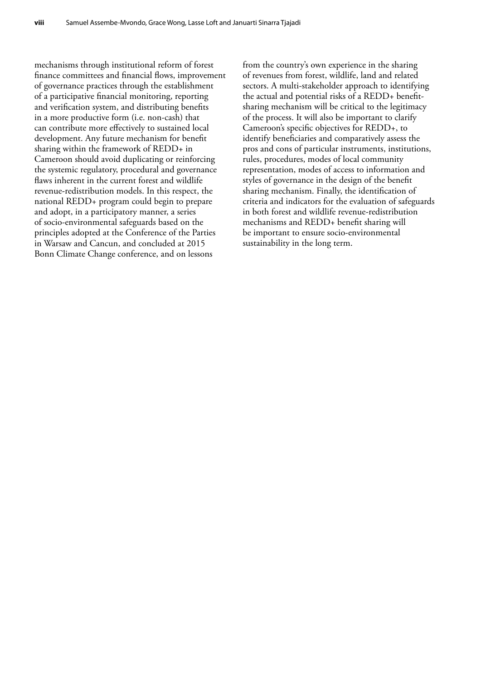mechanisms through institutional reform of forest finance committees and financial flows, improvement of governance practices through the establishment of a participative financial monitoring, reporting and verification system, and distributing benefits in a more productive form (i.e. non-cash) that can contribute more effectively to sustained local development. Any future mechanism for benefit sharing within the framework of REDD+ in Cameroon should avoid duplicating or reinforcing the systemic regulatory, procedural and governance flaws inherent in the current forest and wildlife revenue-redistribution models. In this respect, the national REDD+ program could begin to prepare and adopt, in a participatory manner, a series of socio-environmental safeguards based on the principles adopted at the Conference of the Parties in Warsaw and Cancun, and concluded at 2015 Bonn Climate Change conference, and on lessons

from the country's own experience in the sharing of revenues from forest, wildlife, land and related sectors. A multi-stakeholder approach to identifying the actual and potential risks of a REDD+ benefitsharing mechanism will be critical to the legitimacy of the process. It will also be important to clarify Cameroon's specific objectives for REDD+, to identify beneficiaries and comparatively assess the pros and cons of particular instruments, institutions, rules, procedures, modes of local community representation, modes of access to information and styles of governance in the design of the benefit sharing mechanism. Finally, the identification of criteria and indicators for the evaluation of safeguards in both forest and wildlife revenue-redistribution mechanisms and REDD+ benefit sharing will be important to ensure socio-environmental sustainability in the long term.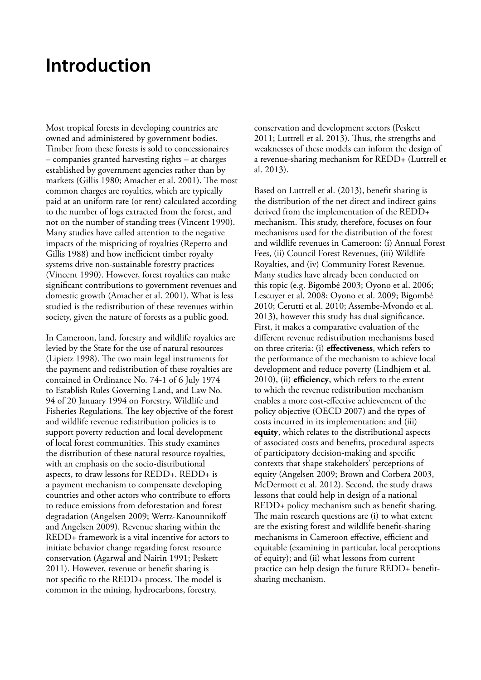### **Introduction**

Most tropical forests in developing countries are owned and administered by government bodies. Timber from these forests is sold to concessionaires – companies granted harvesting rights – at charges established by government agencies rather than by markets (Gillis 1980; Amacher et al. 2001). The most common charges are royalties, which are typically paid at an uniform rate (or rent) calculated according to the number of logs extracted from the forest, and not on the number of standing trees (Vincent 1990). Many studies have called attention to the negative impacts of the mispricing of royalties (Repetto and Gillis 1988) and how inefficient timber royalty systems drive non-sustainable forestry practices (Vincent 1990). However, forest royalties can make significant contributions to government revenues and domestic growth (Amacher et al. 2001). What is less studied is the redistribution of these revenues within society, given the nature of forests as a public good.

In Cameroon, land, forestry and wildlife royalties are levied by the State for the use of natural resources (Lipietz 1998). The two main legal instruments for the payment and redistribution of these royalties are contained in Ordinance No. 74-1 of 6 July 1974 to Establish Rules Governing Land, and Law No. 94 of 20 January 1994 on Forestry, Wildlife and Fisheries Regulations. The key objective of the forest and wildlife revenue redistribution policies is to support poverty reduction and local development of local forest communities. This study examines the distribution of these natural resource royalties, with an emphasis on the socio-distributional aspects, to draw lessons for REDD+. REDD+ is a payment mechanism to compensate developing countries and other actors who contribute to efforts to reduce emissions from deforestation and forest degradation (Angelsen 2009; Wertz-Kanounnikoff and Angelsen 2009). Revenue sharing within the REDD+ framework is a vital incentive for actors to initiate behavior change regarding forest resource conservation (Agarwal and Nairin 1991; Peskett 2011). However, revenue or benefit sharing is not specific to the REDD+ process. The model is common in the mining, hydrocarbons, forestry,

conservation and development sectors (Peskett 2011; Luttrell et al. 2013). Thus, the strengths and weaknesses of these models can inform the design of a revenue-sharing mechanism for REDD+ (Luttrell et al. 2013).

Based on Luttrell et al. (2013), benefit sharing is the distribution of the net direct and indirect gains derived from the implementation of the REDD+ mechanism. This study, therefore, focuses on four mechanisms used for the distribution of the forest and wildlife revenues in Cameroon: (i) Annual Forest Fees, (ii) Council Forest Revenues, (iii) Wildlife Royalties, and (iv) Community Forest Revenue. Many studies have already been conducted on this topic (e.g. Bigombé 2003; Oyono et al. 2006; Lescuyer et al. 2008; Oyono et al. 2009; Bigombé 2010; Cerutti et al. 2010; Assembe-Mvondo et al. 2013), however this study has dual significance. First, it makes a comparative evaluation of the different revenue redistribution mechanisms based on three criteria: (i) **effectiveness**, which refers to the performance of the mechanism to achieve local development and reduce poverty (Lindhjem et al. 2010), (ii) **efficiency**, which refers to the extent to which the revenue redistribution mechanism enables a more cost-effective achievement of the policy objective (OECD 2007) and the types of costs incurred in its implementation; and (iii) **equity**, which relates to the distributional aspects of associated costs and benefits, procedural aspects of participatory decision-making and specific contexts that shape stakeholders' perceptions of equity (Angelsen 2009; Brown and Corbera 2003, McDermott et al. 2012). Second, the study draws lessons that could help in design of a national REDD+ policy mechanism such as benefit sharing. The main research questions are (i) to what extent are the existing forest and wildlife benefit-sharing mechanisms in Cameroon effective, efficient and equitable (examining in particular, local perceptions of equity); and (ii) what lessons from current practice can help design the future REDD+ benefitsharing mechanism.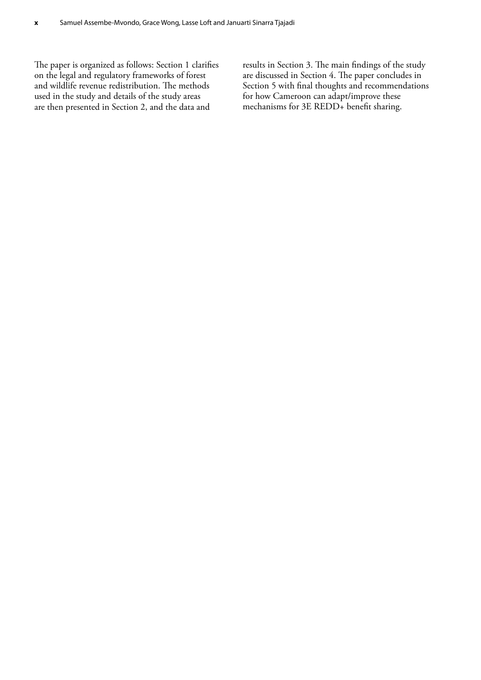The paper is organized as follows: Section 1 clarifies on the legal and regulatory frameworks of forest and wildlife revenue redistribution. The methods used in the study and details of the study areas are then presented in Section 2, and the data and

results in Section 3. The main findings of the study are discussed in Section 4. The paper concludes in Section 5 with final thoughts and recommendations for how Cameroon can adapt/improve these mechanisms for 3E REDD+ benefit sharing.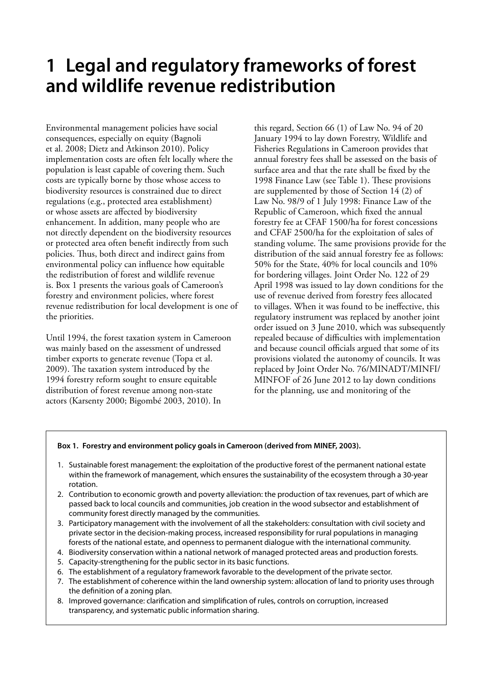# **1 Legal and regulatory frameworks of forest and wildlife revenue redistribution**

Environmental management policies have social consequences, especially on equity (Bagnoli et al. 2008; Dietz and Atkinson 2010). Policy implementation costs are often felt locally where the population is least capable of covering them. Such costs are typically borne by those whose access to biodiversity resources is constrained due to direct regulations (e.g., protected area establishment) or whose assets are affected by biodiversity enhancement. In addition, many people who are not directly dependent on the biodiversity resources or protected area often benefit indirectly from such policies. Thus, both direct and indirect gains from environmental policy can influence how equitable the redistribution of forest and wildlife revenue is. Box 1 presents the various goals of Cameroon's forestry and environment policies, where forest revenue redistribution for local development is one of the priorities.

Until 1994, the forest taxation system in Cameroon was mainly based on the assessment of undressed timber exports to generate revenue (Topa et al. 2009). The taxation system introduced by the 1994 forestry reform sought to ensure equitable distribution of forest revenue among non-state actors (Karsenty 2000; Bigombé 2003, 2010). In

this regard, Section 66 (1) of Law No. 94 of 20 January 1994 to lay down Forestry, Wildlife and Fisheries Regulations in Cameroon provides that annual forestry fees shall be assessed on the basis of surface area and that the rate shall be fixed by the 1998 Finance Law (see Table 1). These provisions are supplemented by those of Section 14 (2) of Law No. 98/9 of 1 July 1998: Finance Law of the Republic of Cameroon, which fixed the annual forestry fee at CFAF 1500/ha for forest concessions and CFAF 2500/ha for the exploitation of sales of standing volume. The same provisions provide for the distribution of the said annual forestry fee as follows: 50% for the State, 40% for local councils and 10% for bordering villages. Joint Order No. 122 of 29 April 1998 was issued to lay down conditions for the use of revenue derived from forestry fees allocated to villages. When it was found to be ineffective, this regulatory instrument was replaced by another joint order issued on 3 June 2010, which was subsequently repealed because of difficulties with implementation and because council officials argued that some of its provisions violated the autonomy of councils. It was replaced by Joint Order No. 76/MINADT/MINFI/ MINFOF of 26 June 2012 to lay down conditions for the planning, use and monitoring of the

#### **Box 1. Forestry and environment policy goals in Cameroon (derived from MINEF, 2003).**

- 1. Sustainable forest management: the exploitation of the productive forest of the permanent national estate within the framework of management, which ensures the sustainability of the ecosystem through a 30-year rotation.
- 2. Contribution to economic growth and poverty alleviation: the production of tax revenues, part of which are passed back to local councils and communities, job creation in the wood subsector and establishment of community forest directly managed by the communities.
- 3. Participatory management with the involvement of all the stakeholders: consultation with civil society and private sector in the decision-making process, increased responsibility for rural populations in managing forests of the national estate, and openness to permanent dialogue with the international community.
- 4. Biodiversity conservation within a national network of managed protected areas and production forests.
- 5. Capacity-strengthening for the public sector in its basic functions.
- 6. The establishment of a regulatory framework favorable to the development of the private sector.
- 7. The establishment of coherence within the land ownership system: allocation of land to priority uses through the definition of a zoning plan.
- 8. Improved governance: clarification and simplification of rules, controls on corruption, increased transparency, and systematic public information sharing.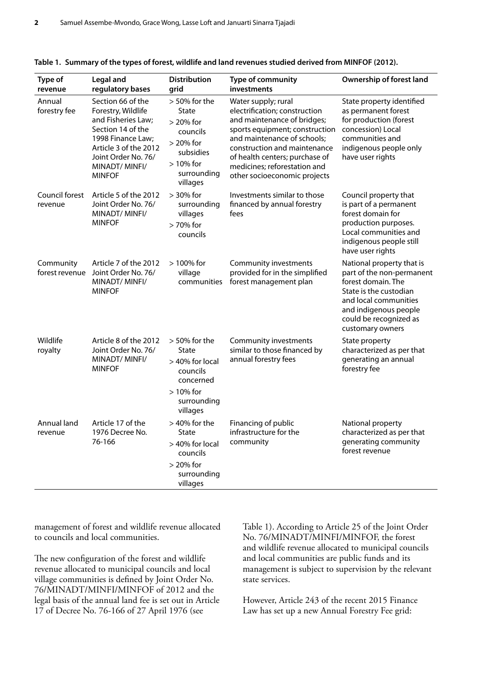| Type of<br>revenue          | <b>Legal and</b><br>regulatory bases                                                                                                                                                       | <b>Distribution</b><br>grid                                                                                                      | Type of community<br>investments                                                                                                                                                                                                                                                       | Ownership of forest land                                                                                                                                                                               |
|-----------------------------|--------------------------------------------------------------------------------------------------------------------------------------------------------------------------------------------|----------------------------------------------------------------------------------------------------------------------------------|----------------------------------------------------------------------------------------------------------------------------------------------------------------------------------------------------------------------------------------------------------------------------------------|--------------------------------------------------------------------------------------------------------------------------------------------------------------------------------------------------------|
| Annual<br>forestry fee      | Section 66 of the<br>Forestry, Wildlife<br>and Fisheries Law;<br>Section 14 of the<br>1998 Finance Law;<br>Article 3 of the 2012<br>Joint Order No. 76/<br>MINADT/ MINFI/<br><b>MINFOF</b> | $> 50\%$ for the<br><b>State</b><br>$> 20\%$ for<br>councils<br>> 20% for<br>subsidies<br>$>10\%$ for<br>surrounding<br>villages | Water supply; rural<br>electrification; construction<br>and maintenance of bridges;<br>sports equipment; construction<br>and maintenance of schools;<br>construction and maintenance<br>of health centers; purchase of<br>medicines; reforestation and<br>other socioeconomic projects | State property identified<br>as permanent forest<br>for production (forest<br>concession) Local<br>communities and<br>indigenous people only<br>have user rights                                       |
| Council forest<br>revenue   | Article 5 of the 2012<br>Joint Order No. 76/<br>MINADT/MINFI/<br><b>MINFOF</b>                                                                                                             | > 30% for<br>surrounding<br>villages<br>> 70% for<br>councils                                                                    | Investments similar to those<br>financed by annual forestry<br>fees                                                                                                                                                                                                                    | Council property that<br>is part of a permanent<br>forest domain for<br>production purposes.<br>Local communities and<br>indigenous people still<br>have user rights                                   |
| Community<br>forest revenue | Article 7 of the 2012<br>Joint Order No. 76/<br>MINADT/MINFI/<br><b>MINFOF</b>                                                                                                             | > 100% for<br>village<br>communities                                                                                             | Community investments<br>provided for in the simplified<br>forest management plan                                                                                                                                                                                                      | National property that is<br>part of the non-permanent<br>forest domain. The<br>State is the custodian<br>and local communities<br>and indigenous people<br>could be recognized as<br>customary owners |
| Wildlife<br>royalty         | Article 8 of the 2012<br>Joint Order No. 76/<br>MINADT/MINFI/<br><b>MINFOF</b>                                                                                                             | $> 50\%$ for the<br><b>State</b><br>> 40% for local<br>councils<br>concerned<br>$>10\%$ for<br>surrounding<br>villages           | Community investments<br>similar to those financed by<br>annual forestry fees                                                                                                                                                                                                          | State property<br>characterized as per that<br>generating an annual<br>forestry fee                                                                                                                    |
| Annual land<br>revenue      | Article 17 of the<br>1976 Decree No.<br>76-166                                                                                                                                             | $>40\%$ for the<br>State<br>> 40% for local<br>councils<br>$> 20\%$ for<br>surrounding<br>villages                               | Financing of public<br>infrastructure for the<br>community                                                                                                                                                                                                                             | National property<br>characterized as per that<br>generating community<br>forest revenue                                                                                                               |

|  |  |  |  |  |  |  | Table 1. Summary of the types of forest, wildlife and land revenues studied derived from MINFOF (2012). |
|--|--|--|--|--|--|--|---------------------------------------------------------------------------------------------------------|
|--|--|--|--|--|--|--|---------------------------------------------------------------------------------------------------------|

management of forest and wildlife revenue allocated to councils and local communities.

The new configuration of the forest and wildlife revenue allocated to municipal councils and local village communities is defined by Joint Order No. 76/MINADT/MINFI/MINFOF of 2012 and the legal basis of the annual land fee is set out in Article 17 of Decree No. 76-166 of 27 April 1976 (see

Table 1). According to Article 25 of the Joint Order No. 76/MINADT/MINFI/MINFOF, the forest and wildlife revenue allocated to municipal councils and local communities are public funds and its management is subject to supervision by the relevant state services.

However, Article 243 of the recent 2015 Finance Law has set up a new Annual Forestry Fee grid: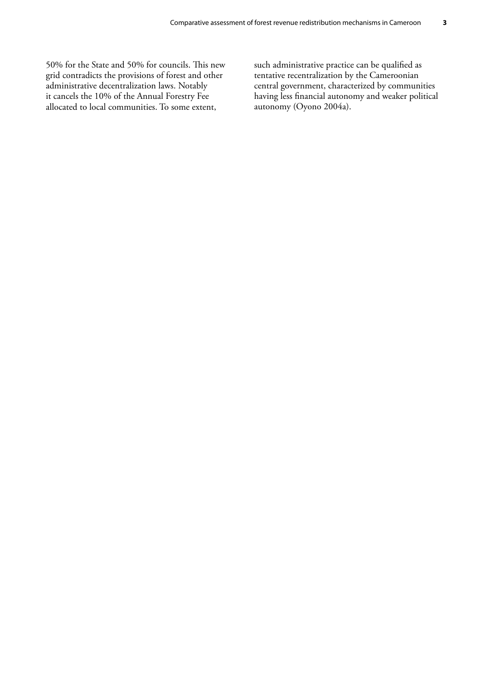50% for the State and 50% for councils. This new grid contradicts the provisions of forest and other administrative decentralization laws. Notably it cancels the 10% of the Annual Forestry Fee allocated to local communities. To some extent,

such administrative practice can be qualified as tentative recentralization by the Cameroonian central government, characterized by communities having less financial autonomy and weaker political autonomy (Oyono 2004a).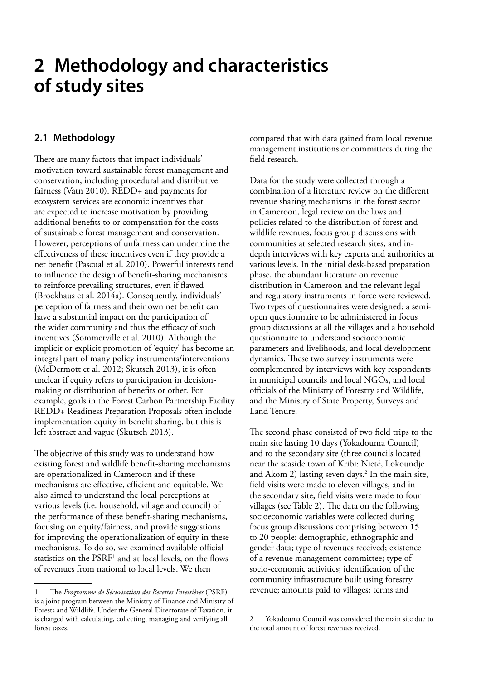### **2 Methodology and characteristics of study sites**

### **2.1 Methodology**

There are many factors that impact individuals' motivation toward sustainable forest management and conservation, including procedural and distributive fairness (Vatn 2010). REDD+ and payments for ecosystem services are economic incentives that are expected to increase motivation by providing additional benefits to or compensation for the costs of sustainable forest management and conservation. However, perceptions of unfairness can undermine the effectiveness of these incentives even if they provide a net benefit (Pascual et al. 2010). Powerful interests tend to influence the design of benefit-sharing mechanisms to reinforce prevailing structures, even if flawed (Brockhaus et al. 2014a). Consequently, individuals' perception of fairness and their own net benefit can have a substantial impact on the participation of the wider community and thus the efficacy of such incentives (Sommerville et al. 2010). Although the implicit or explicit promotion of 'equity' has become an integral part of many policy instruments/interventions (McDermott et al. 2012; Skutsch 2013), it is often unclear if equity refers to participation in decisionmaking or distribution of benefits or other. For example, goals in the Forest Carbon Partnership Facility REDD+ Readiness Preparation Proposals often include implementation equity in benefit sharing, but this is left abstract and vague (Skutsch 2013).

The objective of this study was to understand how existing forest and wildlife benefit-sharing mechanisms are operationalized in Cameroon and if these mechanisms are effective, efficient and equitable. We also aimed to understand the local perceptions at various levels (i.e. household, village and council) of the performance of these benefit-sharing mechanisms, focusing on equity/fairness, and provide suggestions for improving the operationalization of equity in these mechanisms. To do so, we examined available official statistics on the PSRF1 and at local levels, on the flows of revenues from national to local levels. We then

compared that with data gained from local revenue management institutions or committees during the field research.

Data for the study were collected through a combination of a literature review on the different revenue sharing mechanisms in the forest sector in Cameroon, legal review on the laws and policies related to the distribution of forest and wildlife revenues, focus group discussions with communities at selected research sites, and indepth interviews with key experts and authorities at various levels. In the initial desk-based preparation phase, the abundant literature on revenue distribution in Cameroon and the relevant legal and regulatory instruments in force were reviewed. Two types of questionnaires were designed: a semiopen questionnaire to be administered in focus group discussions at all the villages and a household questionnaire to understand socioeconomic parameters and livelihoods, and local development dynamics. These two survey instruments were complemented by interviews with key respondents in municipal councils and local NGOs, and local officials of the Ministry of Forestry and Wildlife, and the Ministry of State Property, Surveys and Land Tenure.

The second phase consisted of two field trips to the main site lasting 10 days (Yokadouma Council) and to the secondary site (three councils located near the seaside town of Kribi: Nieté, Lokoundje and Akom 2) lasting seven days.<sup>2</sup> In the main site, field visits were made to eleven villages, and in the secondary site, field visits were made to four villages (see Table 2). The data on the following socioeconomic variables were collected during focus group discussions comprising between 15 to 20 people: demographic, ethnographic and gender data; type of revenues received; existence of a revenue management committee; type of socio-economic activities; identification of the community infrastructure built using forestry revenue; amounts paid to villages; terms and

<sup>1</sup> The *Programme de Sécurisation des Recettes Forestières* (PSRF) is a joint program between the Ministry of Finance and Ministry of Forests and Wildlife. Under the General Directorate of Taxation, it is charged with calculating, collecting, managing and verifying all forest taxes.

<sup>2</sup> Yokadouma Council was considered the main site due to the total amount of forest revenues received.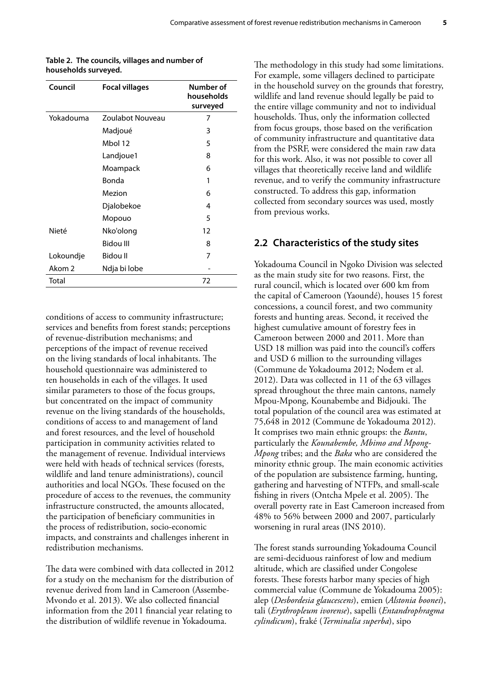| Council   | <b>Focal villages</b> | Number of<br>households<br>surveyed |
|-----------|-----------------------|-------------------------------------|
| Yokadouma | Zoulabot Nouveau      | 7                                   |
|           | Madjoué               | 3                                   |
|           | Mbol 12               | 5                                   |
|           | Landjoue1             | 8                                   |
|           | Moampack              | 6                                   |
|           | Bonda                 | 1                                   |
|           | Mezion                | 6                                   |
|           | Djalobekoe            | 4                                   |
|           | Mopouo                | 5                                   |
| Nieté     | Nko'olong             | 12                                  |
|           | <b>Bidou III</b>      | 8                                   |
| Lokoundje | Bidou II              | 7                                   |
| Akom 2    | Ndja bi lobe          |                                     |
| Total     |                       | 72                                  |

**Table 2. The councils, villages and number of households surveyed.**

conditions of access to community infrastructure; services and benefits from forest stands; perceptions of revenue-distribution mechanisms; and perceptions of the impact of revenue received on the living standards of local inhabitants. The household questionnaire was administered to ten households in each of the villages. It used similar parameters to those of the focus groups, but concentrated on the impact of community revenue on the living standards of the households, conditions of access to and management of land and forest resources, and the level of household participation in community activities related to the management of revenue. Individual interviews were held with heads of technical services (forests, wildlife and land tenure administrations), council authorities and local NGOs. These focused on the procedure of access to the revenues, the community infrastructure constructed, the amounts allocated, the participation of beneficiary communities in the process of redistribution, socio-economic impacts, and constraints and challenges inherent in redistribution mechanisms.

The data were combined with data collected in 2012 for a study on the mechanism for the distribution of revenue derived from land in Cameroon (Assembe-Mvondo et al. 2013). We also collected financial information from the 2011 financial year relating to the distribution of wildlife revenue in Yokadouma.

The methodology in this study had some limitations. For example, some villagers declined to participate in the household survey on the grounds that forestry, wildlife and land revenue should legally be paid to the entire village community and not to individual households. Thus, only the information collected from focus groups, those based on the verification of community infrastructure and quantitative data from the PSRF, were considered the main raw data for this work. Also, it was not possible to cover all villages that theoretically receive land and wildlife revenue, and to verify the community infrastructure constructed. To address this gap, information collected from secondary sources was used, mostly from previous works.

#### **2.2 Characteristics of the study sites**

Yokadouma Council in Ngoko Division was selected as the main study site for two reasons. First, the rural council, which is located over 600 km from the capital of Cameroon (Yaoundé), houses 15 forest concessions, a council forest, and two community forests and hunting areas. Second, it received the highest cumulative amount of forestry fees in Cameroon between 2000 and 2011. More than USD 18 million was paid into the council's coffers and USD 6 million to the surrounding villages (Commune de Yokadouma 2012; Nodem et al. 2012). Data was collected in 11 of the 63 villages spread throughout the three main cantons, namely Mpou-Mpong, Kounabembe and Bidjouki. The total population of the council area was estimated at 75,648 in 2012 (Commune de Yokadouma 2012). It comprises two main ethnic groups: the *Bantu*, particularly the *Kounabembe, Mbimo and Mpong-Mpong* tribes; and the *Baka* who are considered the minority ethnic group. The main economic activities of the population are subsistence farming, hunting, gathering and harvesting of NTFPs, and small-scale fishing in rivers (Ontcha Mpele et al. 2005). The overall poverty rate in East Cameroon increased from 48% to 56% between 2000 and 2007, particularly worsening in rural areas (INS 2010).

The forest stands surrounding Yokadouma Council are semi-deciduous rainforest of low and medium altitude, which are classified under Congolese forests. These forests harbor many species of high commercial value (Commune de Yokadouma 2005): alep (*Desbordesia glaucescens*), emien (*Alstonia boonei*), tali (*Erythropleum ivorense*), sapelli (*Entandrophragma cylindicum*), fraké (*Terminalia superba*), sipo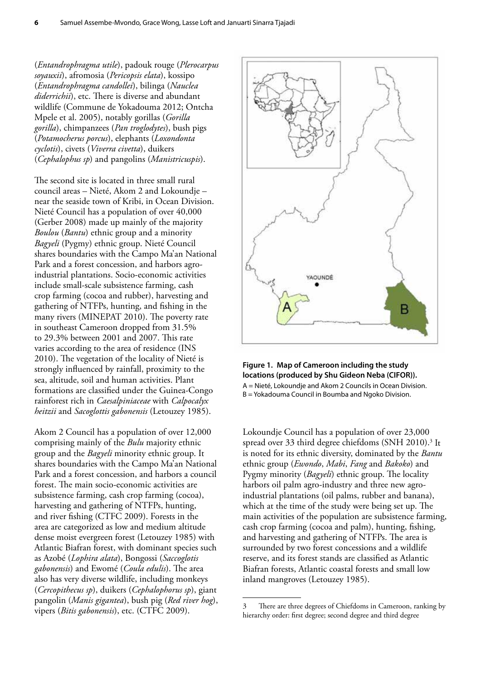(*Entandrophragma utile*), padouk rouge (*Plerocarpus soyauxii*), afromosia (*Pericopsis elata*), kossipo (*Entandrophragma candollei*), bilinga (*Nauclea diderrichii*), etc. There is diverse and abundant wildlife (Commune de Yokadouma 2012; Ontcha Mpele et al. 2005), notably gorillas (*Gorilla gorilla*), chimpanzees (*Pan troglodytes*), bush pigs (*Potamocherus porcus*), elephants (*Loxondonta cyclotis*), civets (*Viverra civetta*), duikers (*Cephalophus sp*) and pangolins (*Manistricuspis*).

The second site is located in three small rural council areas – Nieté, Akom 2 and Lokoundje – near the seaside town of Kribi, in Ocean Division. Nieté Council has a population of over 40,000 (Gerber 2008) made up mainly of the majority *Boulou* (*Bantu*) ethnic group and a minority *Bagyeli* (Pygmy) ethnic group. Nieté Council shares boundaries with the Campo Ma'an National Park and a forest concession, and harbors agroindustrial plantations. Socio-economic activities include small-scale subsistence farming, cash crop farming (cocoa and rubber), harvesting and gathering of NTFPs, hunting, and fishing in the many rivers (MINEPAT 2010). The poverty rate in southeast Cameroon dropped from 31.5% to 29.3% between 2001 and 2007. This rate varies according to the area of residence (INS 2010). The vegetation of the locality of Nieté is strongly influenced by rainfall, proximity to the sea, altitude, soil and human activities. Plant formations are classified under the Guinea-Congo rainforest rich in *Caesalpiniaceae* with *Calpocalyx heitzii* and *Sacoglottis gabonensis* (Letouzey 1985).

Akom 2 Council has a population of over 12,000 comprising mainly of the *Bulu* majority ethnic group and the *Bagyeli* minority ethnic group. It shares boundaries with the Campo Ma'an National Park and a forest concession, and harbors a council forest. The main socio-economic activities are subsistence farming, cash crop farming (cocoa), harvesting and gathering of NTFPs, hunting, and river fishing (CTFC 2009). Forests in the area are categorized as low and medium altitude dense moist evergreen forest (Letouzey 1985) with Atlantic Biafran forest, with dominant species such as Azobé (*Lophira alata*), Bongossi (*Saccoglotis gabonensis*) and Ewomé (*Coula edulis*). The area also has very diverse wildlife, including monkeys (*Cercopithecus sp*), duikers (*Cephalophorus sp*), giant pangolin (*Manis gigantea*), bush pig (*Red river hog*), vipers (*Bitis gabonensis*), etc. (CTFC 2009).



#### **Figure 1. Map of Cameroon including the study locations (produced by Shu Gideon Neba (CIFOR)).**

A = Nieté, Lokoundje and Akom 2 Councils in Ocean Division. B = Yokadouma Council in Boumba and Ngoko Division.

Lokoundje Council has a population of over 23,000 spread over 33 third degree chiefdoms (SNH 2010).<sup>3</sup> It is noted for its ethnic diversity, dominated by the *Bantu* ethnic group (*Ewondo*, *Mabi*, *Fang* and *Bakoko*) and Pygmy minority (*Bagyeli*) ethnic group. The locality harbors oil palm agro-industry and three new agroindustrial plantations (oil palms, rubber and banana), which at the time of the study were being set up. The main activities of the population are subsistence farming, cash crop farming (cocoa and palm), hunting, fishing, and harvesting and gathering of NTFPs. The area is surrounded by two forest concessions and a wildlife reserve, and its forest stands are classified as Atlantic Biafran forests, Atlantic coastal forests and small low inland mangroves (Letouzey 1985).

<sup>3</sup> There are three degrees of Chiefdoms in Cameroon, ranking by hierarchy order: first degree; second degree and third degree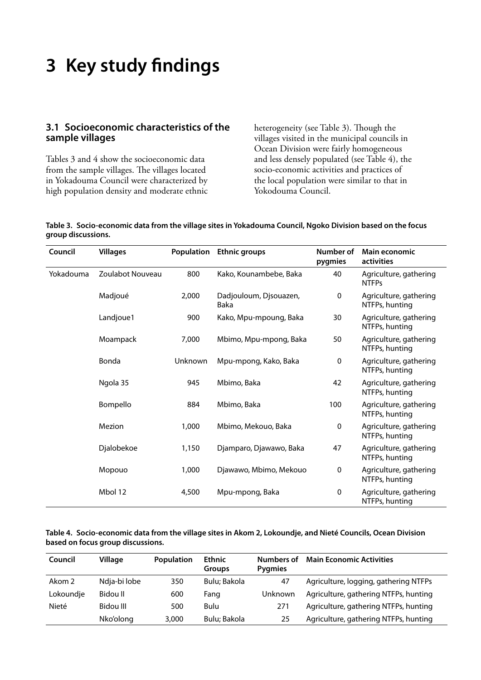# **3 Key study findings**

### **3.1 Socioeconomic characteristics of the sample villages**

Tables 3 and 4 show the socioeconomic data from the sample villages. The villages located in Yokadouma Council were characterized by high population density and moderate ethnic heterogeneity (see Table 3). Though the villages visited in the municipal councils in Ocean Division were fairly homogeneous and less densely populated (see Table 4), the socio-economic activities and practices of the local population were similar to that in Yokodouma Council.

|                    | Table 3. Socio-economic data from the village sites in Yokadouma Council, Ngoko Division based on the focus |
|--------------------|-------------------------------------------------------------------------------------------------------------|
| group discussions. |                                                                                                             |

| Council   | <b>Villages</b>  | <b>Population</b> | <b>Ethnic groups</b>           | Number of<br>pygmies | Main economic<br>activities              |
|-----------|------------------|-------------------|--------------------------------|----------------------|------------------------------------------|
| Yokadouma | Zoulabot Nouveau | 800               | Kako, Kounambebe, Baka         | 40                   | Agriculture, gathering<br><b>NTFPs</b>   |
|           | Madjoué          | 2,000             | Dadjouloum, Djsouazen,<br>Baka | 0                    | Agriculture, gathering<br>NTFPs, hunting |
|           | Landjoue1        | 900               | Kako, Mpu-mpoung, Baka         | 30                   | Agriculture, gathering<br>NTFPs, hunting |
|           | Moampack         | 7,000             | Mbimo, Mpu-mpong, Baka         | 50                   | Agriculture, gathering<br>NTFPs, hunting |
|           | Bonda            | Unknown           | Mpu-mpong, Kako, Baka          | $\mathbf 0$          | Agriculture, gathering<br>NTFPs, hunting |
|           | Ngola 35         | 945               | Mbimo, Baka                    | 42                   | Agriculture, gathering<br>NTFPs, hunting |
|           | Bompello         | 884               | Mbimo, Baka                    | 100                  | Agriculture, gathering<br>NTFPs, hunting |
|           | Mezion           | 1,000             | Mbimo, Mekouo, Baka            | $\mathbf 0$          | Agriculture, gathering<br>NTFPs, hunting |
|           | Djalobekoe       | 1,150             | Djamparo, Djawawo, Baka        | 47                   | Agriculture, gathering<br>NTFPs, hunting |
|           | Mopouo           | 1,000             | Djawawo, Mbimo, Mekouo         | $\mathbf 0$          | Agriculture, gathering<br>NTFPs, hunting |
|           | Mbol 12          | 4,500             | Mpu-mpong, Baka                | 0                    | Agriculture, gathering<br>NTFPs, hunting |

#### **Table 4. Socio-economic data from the village sites in Akom 2, Lokoundje, and Nieté Councils, Ocean Division based on focus group discussions.**

| Council   | Village      | <b>Population</b> | <b>Ethnic</b><br><b>Groups</b> | Numbers of<br><b>Pygmies</b> | <b>Main Economic Activities</b>       |
|-----------|--------------|-------------------|--------------------------------|------------------------------|---------------------------------------|
| Akom 2    | Ndja-bi lobe | 350               | Bulu: Bakola                   | 47                           | Agriculture, logging, gathering NTFPs |
| Lokoundje | Bidou II     | 600               | Fang                           | Unknown                      | Agriculture, gathering NTFPs, hunting |
| Nieté     | Bidou III    | 500               | Bulu                           | 271                          | Agriculture, gathering NTFPs, hunting |
|           | Nko'olong    | 3,000             | Bulu; Bakola                   | 25                           | Agriculture, gathering NTFPs, hunting |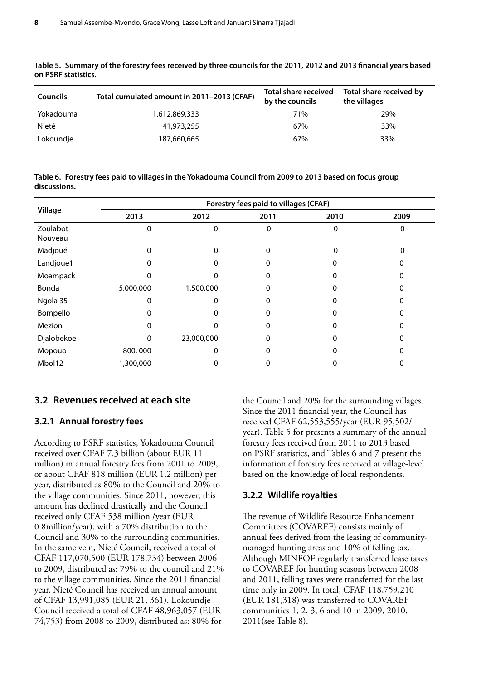| <b>Councils</b> | Total cumulated amount in 2011-2013 (CFAF) | <b>Total share received</b><br>by the councils | Total share received by<br>the villages |
|-----------------|--------------------------------------------|------------------------------------------------|-----------------------------------------|
| Yokadouma       | 1,612,869,333                              | 71%                                            | 29%                                     |
| Nieté           | 41,973,255                                 | 67%                                            | 33%                                     |
| Lokoundje       | 187,660,665                                | 67%                                            | 33%                                     |

**Table 5. Summary of the forestry fees received by three councils for the 2011, 2012 and 2013 financial years based on PSRF statistics.**

**Table 6. Forestry fees paid to villages in the Yokadouma Council from 2009 to 2013 based on focus group discussions.**

|                     | Forestry fees paid to villages (CFAF) |            |      |      |      |  |  |  |
|---------------------|---------------------------------------|------------|------|------|------|--|--|--|
| Village             | 2013                                  | 2012       | 2011 | 2010 | 2009 |  |  |  |
| Zoulabot<br>Nouveau | 0                                     | $\Omega$   | 0    | 0    | 0    |  |  |  |
| Madjoué             | 0                                     |            | 0    | 0    | 0    |  |  |  |
| Landjoue1           | O                                     |            | O    |      |      |  |  |  |
| Moampack            |                                       |            | 0    |      |      |  |  |  |
| Bonda               | 5,000,000                             | 1,500,000  |      |      |      |  |  |  |
| Ngola 35            | 0                                     | 0          |      |      |      |  |  |  |
| Bompello            | 0                                     | O          | 0    |      |      |  |  |  |
| Mezion              |                                       |            |      |      |      |  |  |  |
| Djalobekoe          | $\Omega$                              | 23,000,000 |      |      |      |  |  |  |
| Mopouo              | 800,000                               | 0          | 0    |      |      |  |  |  |
| Mbol12              | 1,300,000                             | 0          |      | O    | 0    |  |  |  |

#### **3.2 Revenues received at each site**

#### **3.2.1 Annual forestry fees**

According to PSRF statistics, Yokadouma Council received over CFAF 7.3 billion (about EUR 11 million) in annual forestry fees from 2001 to 2009, or about CFAF 818 million (EUR 1.2 million) per year, distributed as 80% to the Council and 20% to the village communities. Since 2011, however, this amount has declined drastically and the Council received only CFAF 538 million /year (EUR 0.8million/year), with a 70% distribution to the Council and 30% to the surrounding communities. In the same vein, Nieté Council, received a total of CFAF 117,070,500 (EUR 178,734) between 2006 to 2009, distributed as: 79% to the council and 21% to the village communities. Since the 2011 financial year, Nieté Council has received an annual amount of CFAF 13,991,085 (EUR 21, 361). Lokoundje Council received a total of CFAF 48,963,057 (EUR 74,753) from 2008 to 2009, distributed as: 80% for

the Council and 20% for the surrounding villages. Since the 2011 financial year, the Council has received CFAF 62,553,555/year (EUR 95,502/ year). Table 5 for presents a summary of the annual forestry fees received from 2011 to 2013 based on PSRF statistics, and Tables 6 and 7 present the information of forestry fees received at village-level based on the knowledge of local respondents.

#### **3.2.2 Wildlife royalties**

The revenue of Wildlife Resource Enhancement Committees (COVAREF) consists mainly of annual fees derived from the leasing of communitymanaged hunting areas and 10% of felling tax. Although MINFOF regularly transferred lease taxes to COVAREF for hunting seasons between 2008 and 2011, felling taxes were transferred for the last time only in 2009. In total, CFAF 118,759,210 (EUR 181,318) was transferred to COVAREF communities 1, 2, 3, 6 and 10 in 2009, 2010, 2011(see Table 8).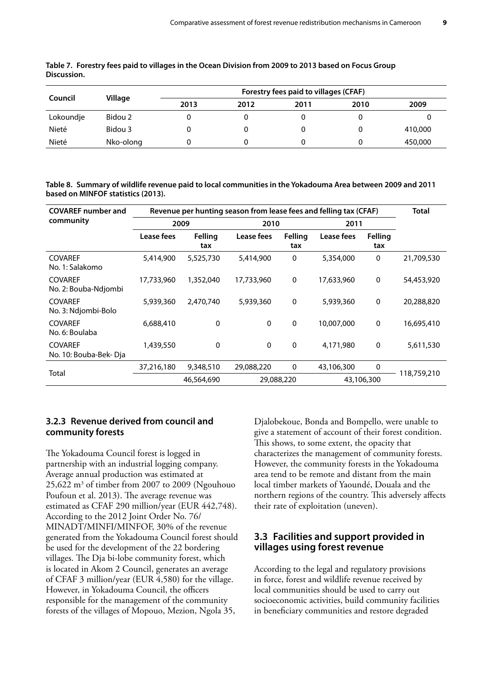| Council   | Village   | Forestry fees paid to villages (CFAF) |      |      |      |         |
|-----------|-----------|---------------------------------------|------|------|------|---------|
|           |           | 2013                                  | 2012 | 2011 | 2010 | 2009    |
| Lokoundje | Bidou 2   |                                       |      |      |      |         |
| Nieté     | Bidou 3   |                                       |      |      |      | 410,000 |
| Nieté     | Nko-olong |                                       |      |      |      | 450,000 |

**Table 7. Forestry fees paid to villages in the Ocean Division from 2009 to 2013 based on Focus Group Discussion.**

**Table 8. Summary of wildlife revenue paid to local communities in the Yokadouma Area between 2009 and 2011 based on MINFOF statistics (2013).**

| <b>COVAREF number and</b>               | Revenue per hunting season from lease fees and felling tax (CFAF) |                |             |                |            |                       | <b>Total</b> |
|-----------------------------------------|-------------------------------------------------------------------|----------------|-------------|----------------|------------|-----------------------|--------------|
| community                               | 2009                                                              |                | 2010        |                | 2011       |                       |              |
|                                         | Lease fees                                                        | Felling<br>tax | Lease fees  | Felling<br>tax | Lease fees | <b>Felling</b><br>tax |              |
| <b>COVAREF</b><br>No. 1: Salakomo       | 5,414,900                                                         | 5,525,730      | 5,414,900   | 0              | 5,354,000  | $\mathbf 0$           | 21,709,530   |
| <b>COVAREF</b><br>No. 2: Bouba-Ndjombi  | 17,733,960                                                        | 1,352,040      | 17,733,960  | 0              | 17,633,960 | $\mathbf 0$           | 54,453,920   |
| <b>COVAREF</b><br>No. 3: Ndjombi-Bolo   | 5,939,360                                                         | 2,470,740      | 5,939,360   | 0              | 5,939,360  | 0                     | 20,288,820   |
| <b>COVAREF</b><br>No. 6: Boulaba        | 6,688,410                                                         | 0              | 0           | $\mathbf 0$    | 10,007,000 | $\mathbf 0$           | 16,695,410   |
| <b>COVAREF</b><br>No. 10: Bouba-Bek-Dja | 1,439,550                                                         | 0              | $\mathbf 0$ | 0              | 4,171,980  | $\mathbf{0}$          | 5,611,530    |
|                                         | 37,216,180                                                        | 9,348,510      | 29,088,220  | 0              | 43,106,300 | $\mathbf 0$           |              |
| Total                                   |                                                                   | 46,564,690     | 29,088,220  |                |            | 43,106,300            | 118,759,210  |

### **3.2.3 Revenue derived from council and community forests**

The Yokadouma Council forest is logged in partnership with an industrial logging company. Average annual production was estimated at 25,622 m<sup>3</sup> of timber from 2007 to 2009 (Ngouhouo Poufoun et al. 2013). The average revenue was estimated as CFAF 290 million/year (EUR 442,748). According to the 2012 Joint Order No. 76/ MINADT/MINFI/MINFOF, 30% of the revenue generated from the Yokadouma Council forest should be used for the development of the 22 bordering villages. The Dja bi-lobe community forest, which is located in Akom 2 Council, generates an average of CFAF 3 million/year (EUR 4,580) for the village. However, in Yokadouma Council, the officers responsible for the management of the community forests of the villages of Mopouo, Mezion, Ngola 35,

Djalobekoue, Bonda and Bompello, were unable to give a statement of account of their forest condition. This shows, to some extent, the opacity that characterizes the management of community forests. However, the community forests in the Yokadouma area tend to be remote and distant from the main local timber markets of Yaoundé, Douala and the northern regions of the country. This adversely affects their rate of exploitation (uneven).

### **3.3 Facilities and support provided in villages using forest revenue**

According to the legal and regulatory provisions in force, forest and wildlife revenue received by local communities should be used to carry out socioeconomic activities, build community facilities in beneficiary communities and restore degraded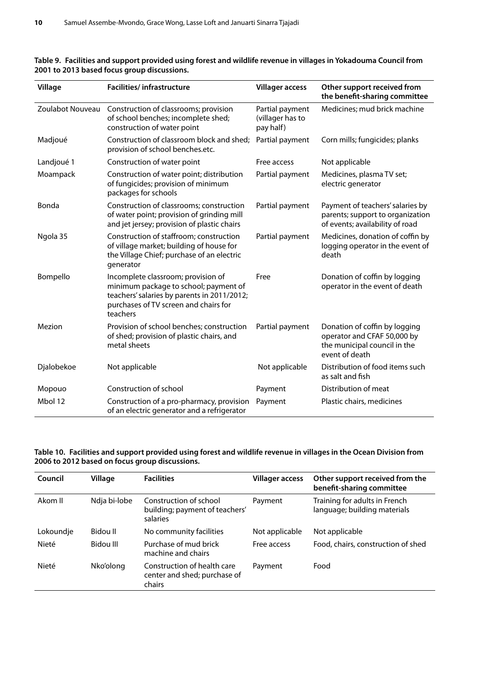| Village    | <b>Facilities/infrastructure</b>                                                                                                                                                | <b>Villager access</b>                           | Other support received from<br>the benefit-sharing committee                                                   |
|------------|---------------------------------------------------------------------------------------------------------------------------------------------------------------------------------|--------------------------------------------------|----------------------------------------------------------------------------------------------------------------|
|            | Zoulabot Nouveau Construction of classrooms; provision<br>of school benches; incomplete shed;<br>construction of water point                                                    | Partial payment<br>(villager has to<br>pay half) | Medicines; mud brick machine                                                                                   |
| Madjoué    | Construction of classroom block and shed;<br>provision of school benches.etc.                                                                                                   | Partial payment                                  | Corn mills; fungicides; planks                                                                                 |
| Landjoué 1 | Construction of water point                                                                                                                                                     | Free access                                      | Not applicable                                                                                                 |
| Moampack   | Construction of water point; distribution<br>of fungicides; provision of minimum<br>packages for schools                                                                        | Partial payment                                  | Medicines, plasma TV set;<br>electric generator                                                                |
| Bonda      | Construction of classrooms; construction<br>of water point; provision of grinding mill<br>and jet jersey; provision of plastic chairs                                           | Partial payment                                  | Payment of teachers' salaries by<br>parents; support to organization<br>of events; availability of road        |
| Ngola 35   | Construction of staffroom; construction<br>of village market; building of house for<br>the Village Chief; purchase of an electric<br>generator                                  | Partial payment                                  | Medicines, donation of coffin by<br>logging operator in the event of<br>death                                  |
| Bompello   | Incomplete classroom; provision of<br>minimum package to school; payment of<br>teachers' salaries by parents in 2011/2012;<br>purchases of TV screen and chairs for<br>teachers | Free                                             | Donation of coffin by logging<br>operator in the event of death                                                |
| Mezion     | Provision of school benches; construction<br>of shed; provision of plastic chairs, and<br>metal sheets                                                                          | Partial payment                                  | Donation of coffin by logging<br>operator and CFAF 50,000 by<br>the municipal council in the<br>event of death |
| Djalobekoe | Not applicable                                                                                                                                                                  | Not applicable                                   | Distribution of food items such<br>as salt and fish                                                            |
| Mopouo     | Construction of school                                                                                                                                                          | Payment                                          | Distribution of meat                                                                                           |
| Mbol 12    | Construction of a pro-pharmacy, provision<br>of an electric generator and a refrigerator                                                                                        | Payment                                          | Plastic chairs, medicines                                                                                      |

#### **Table 9. Facilities and support provided using forest and wildlife revenue in villages in Yokadouma Council from 2001 to 2013 based focus group discussions.**

#### **Table 10. Facilities and support provided using forest and wildlife revenue in villages in the Ocean Division from 2006 to 2012 based on focus group discussions.**

| Council   | Village      | <b>Facilities</b>                                                     | <b>Villager access</b> | Other support received from the<br>benefit-sharing committee  |
|-----------|--------------|-----------------------------------------------------------------------|------------------------|---------------------------------------------------------------|
| Akom II   | Ndja bi-lobe | Construction of school<br>building; payment of teachers'<br>salaries  | Payment                | Training for adults in French<br>language; building materials |
| Lokoundje | Bidou II     | No community facilities                                               | Not applicable         | Not applicable                                                |
| Nieté     | Bidou III    | Purchase of mud brick<br>machine and chairs                           | Free access            | Food, chairs, construction of shed                            |
| Nieté     | Nko'olong    | Construction of health care<br>center and shed; purchase of<br>chairs | Payment                | Food                                                          |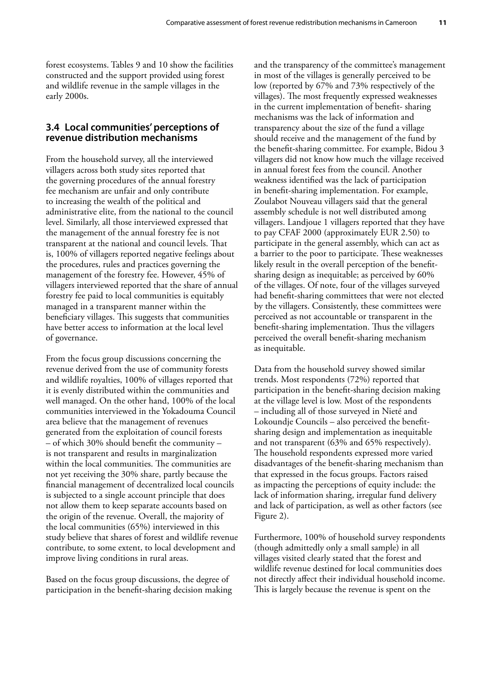forest ecosystems. Tables 9 and 10 show the facilities constructed and the support provided using forest and wildlife revenue in the sample villages in the early 2000s.

#### **3.4 Local communities' perceptions of revenue distribution mechanisms**

From the household survey, all the interviewed villagers across both study sites reported that the governing procedures of the annual forestry fee mechanism are unfair and only contribute to increasing the wealth of the political and administrative elite, from the national to the council level. Similarly, all those interviewed expressed that the management of the annual forestry fee is not transparent at the national and council levels. That is, 100% of villagers reported negative feelings about the procedures, rules and practices governing the management of the forestry fee. However, 45% of villagers interviewed reported that the share of annual forestry fee paid to local communities is equitably managed in a transparent manner within the beneficiary villages. This suggests that communities have better access to information at the local level of governance.

From the focus group discussions concerning the revenue derived from the use of community forests and wildlife royalties, 100% of villages reported that it is evenly distributed within the communities and well managed. On the other hand, 100% of the local communities interviewed in the Yokadouma Council area believe that the management of revenues generated from the exploitation of council forests – of which 30% should benefit the community – is not transparent and results in marginalization within the local communities. The communities are not yet receiving the 30% share, partly because the financial management of decentralized local councils is subjected to a single account principle that does not allow them to keep separate accounts based on the origin of the revenue. Overall, the majority of the local communities (65%) interviewed in this study believe that shares of forest and wildlife revenue contribute, to some extent, to local development and improve living conditions in rural areas.

Based on the focus group discussions, the degree of participation in the benefit-sharing decision making and the transparency of the committee's management in most of the villages is generally perceived to be low (reported by 67% and 73% respectively of the villages). The most frequently expressed weaknesses in the current implementation of benefit- sharing mechanisms was the lack of information and transparency about the size of the fund a village should receive and the management of the fund by the benefit-sharing committee. For example, Bidou 3 villagers did not know how much the village received in annual forest fees from the council. Another weakness identified was the lack of participation in benefit-sharing implementation. For example, Zoulabot Nouveau villagers said that the general assembly schedule is not well distributed among villagers. Landjoue 1 villagers reported that they have to pay CFAF 2000 (approximately EUR 2.50) to participate in the general assembly, which can act as a barrier to the poor to participate. These weaknesses likely result in the overall perception of the benefitsharing design as inequitable; as perceived by 60% of the villages. Of note, four of the villages surveyed had benefit-sharing committees that were not elected by the villagers. Consistently, these committees were perceived as not accountable or transparent in the benefit-sharing implementation. Thus the villagers perceived the overall benefit-sharing mechanism as inequitable.

Data from the household survey showed similar trends. Most respondents (72%) reported that participation in the benefit-sharing decision making at the village level is low. Most of the respondents – including all of those surveyed in Nieté and Lokoundje Councils – also perceived the benefitsharing design and implementation as inequitable and not transparent (63% and 65% respectively). The household respondents expressed more varied disadvantages of the benefit-sharing mechanism than that expressed in the focus groups. Factors raised as impacting the perceptions of equity include: the lack of information sharing, irregular fund delivery and lack of participation, as well as other factors (see Figure 2).

Furthermore, 100% of household survey respondents (though admittedly only a small sample) in all villages visited clearly stated that the forest and wildlife revenue destined for local communities does not directly affect their individual household income. This is largely because the revenue is spent on the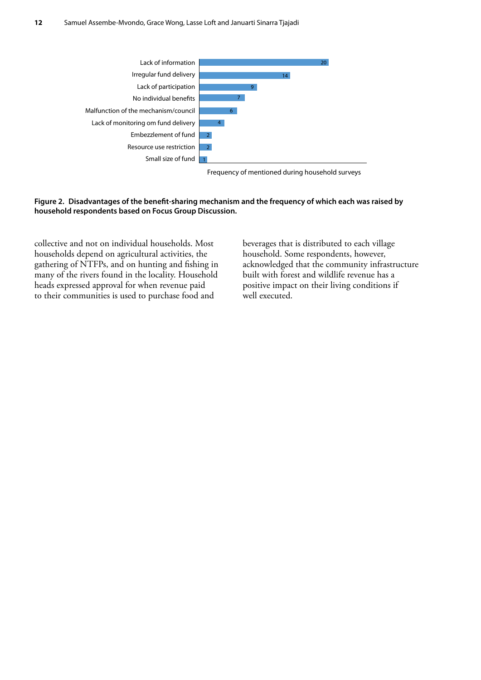

Frequency of mentioned during household surveys

#### **Figure 2. Disadvantages of the benefit-sharing mechanism and the frequency of which each was raised by household respondents based on Focus Group Discussion.**

collective and not on individual households. Most households depend on agricultural activities, the gathering of NTFPs, and on hunting and fishing in many of the rivers found in the locality. Household heads expressed approval for when revenue paid to their communities is used to purchase food and

beverages that is distributed to each village household. Some respondents, however, acknowledged that the community infrastructure built with forest and wildlife revenue has a positive impact on their living conditions if well executed.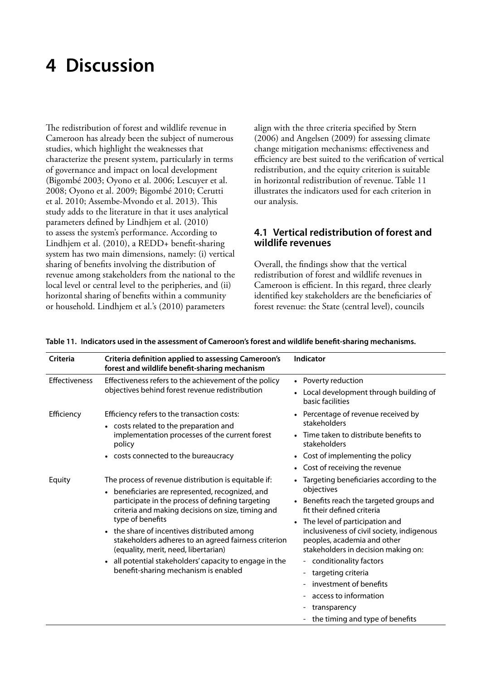### **4 Discussion**

The redistribution of forest and wildlife revenue in Cameroon has already been the subject of numerous studies, which highlight the weaknesses that characterize the present system, particularly in terms of governance and impact on local development (Bigombé 2003; Oyono et al. 2006; Lescuyer et al. 2008; Oyono et al. 2009; Bigombé 2010; Cerutti et al. 2010; Assembe-Mvondo et al. 2013). This study adds to the literature in that it uses analytical parameters defined by Lindhjem et al. (2010) to assess the system's performance. According to Lindhjem et al. (2010), a REDD+ benefit-sharing system has two main dimensions, namely: (i) vertical sharing of benefits involving the distribution of revenue among stakeholders from the national to the local level or central level to the peripheries, and (ii) horizontal sharing of benefits within a community or household. Lindhjem et al.'s (2010) parameters

align with the three criteria specified by Stern (2006) and Angelsen (2009) for assessing climate change mitigation mechanisms: effectiveness and efficiency are best suited to the verification of vertical redistribution, and the equity criterion is suitable in horizontal redistribution of revenue. Table 11 illustrates the indicators used for each criterion in our analysis.

### **4.1 Vertical redistribution of forest and wildlife revenues**

Overall, the findings show that the vertical redistribution of forest and wildlife revenues in Cameroon is efficient. In this regard, three clearly identified key stakeholders are the beneficiaries of forest revenue: the State (central level), councils

| <b>Criteria</b> | <b>Criteria definition applied to assessing Cameroon's</b><br>forest and wildlife benefit-sharing mechanism                                                                                                                                                                                                                                                                                                                                                                                        | <b>Indicator</b>                                                                                                                                                                                                                                                                                                                                                                                                                                                   |
|-----------------|----------------------------------------------------------------------------------------------------------------------------------------------------------------------------------------------------------------------------------------------------------------------------------------------------------------------------------------------------------------------------------------------------------------------------------------------------------------------------------------------------|--------------------------------------------------------------------------------------------------------------------------------------------------------------------------------------------------------------------------------------------------------------------------------------------------------------------------------------------------------------------------------------------------------------------------------------------------------------------|
| Effectiveness   | Effectiveness refers to the achievement of the policy<br>objectives behind forest revenue redistribution                                                                                                                                                                                                                                                                                                                                                                                           | • Poverty reduction<br>Local development through building of<br>basic facilities                                                                                                                                                                                                                                                                                                                                                                                   |
| Efficiency      | Efficiency refers to the transaction costs:<br>• costs related to the preparation and<br>implementation processes of the current forest<br>policy<br>• costs connected to the bureaucracy                                                                                                                                                                                                                                                                                                          | Percentage of revenue received by<br>stakeholders<br>Time taken to distribute benefits to<br>stakeholders<br>• Cost of implementing the policy<br>• Cost of receiving the revenue                                                                                                                                                                                                                                                                                  |
| Equity          | The process of revenue distribution is equitable if:<br>• beneficiaries are represented, recognized, and<br>participate in the process of defining targeting<br>criteria and making decisions on size, timing and<br>type of benefits<br>• the share of incentives distributed among<br>stakeholders adheres to an agreed fairness criterion<br>(equality, merit, need, libertarian)<br>all potential stakeholders' capacity to engage in the<br>$\bullet$<br>benefit-sharing mechanism is enabled | • Targeting beneficiaries according to the<br>objectives<br>• Benefits reach the targeted groups and<br>fit their defined criteria<br>The level of participation and<br>$\bullet$<br>inclusiveness of civil society, indigenous<br>peoples, academia and other<br>stakeholders in decision making on:<br>- conditionality factors<br>targeting criteria<br>-<br>investment of benefits<br>access to information<br>transparency<br>the timing and type of benefits |

#### **Table 11. Indicators used in the assessment of Cameroon's forest and wildlife benefit-sharing mechanisms.**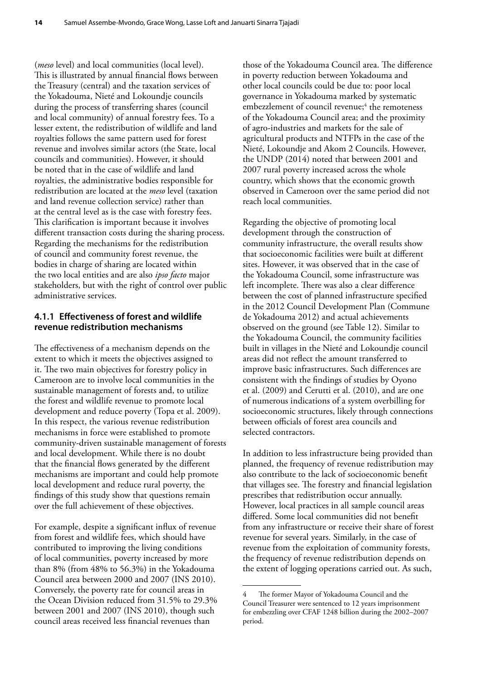(*meso* level) and local communities (local level). This is illustrated by annual financial flows between the Treasury (central) and the taxation services of the Yokadouma, Nieté and Lokoundje councils during the process of transferring shares (council and local community) of annual forestry fees. To a lesser extent, the redistribution of wildlife and land royalties follows the same pattern used for forest revenue and involves similar actors (the State, local councils and communities). However, it should be noted that in the case of wildlife and land royalties, the administrative bodies responsible for redistribution are located at the *meso* level (taxation and land revenue collection service) rather than at the central level as is the case with forestry fees. This clarification is important because it involves different transaction costs during the sharing process. Regarding the mechanisms for the redistribution of council and community forest revenue, the bodies in charge of sharing are located within the two local entities and are also *ipso facto* major stakeholders, but with the right of control over public administrative services.

#### **4.1.1 Effectiveness of forest and wildlife revenue redistribution mechanisms**

The effectiveness of a mechanism depends on the extent to which it meets the objectives assigned to it. The two main objectives for forestry policy in Cameroon are to involve local communities in the sustainable management of forests and, to utilize the forest and wildlife revenue to promote local development and reduce poverty (Topa et al. 2009). In this respect, the various revenue redistribution mechanisms in force were established to promote community-driven sustainable management of forests and local development. While there is no doubt that the financial flows generated by the different mechanisms are important and could help promote local development and reduce rural poverty, the findings of this study show that questions remain over the full achievement of these objectives.

For example, despite a significant influx of revenue from forest and wildlife fees, which should have contributed to improving the living conditions of local communities, poverty increased by more than 8% (from 48% to 56.3%) in the Yokadouma Council area between 2000 and 2007 (INS 2010). Conversely, the poverty rate for council areas in the Ocean Division reduced from 31.5% to 29.3% between 2001 and 2007 (INS 2010), though such council areas received less financial revenues than

those of the Yokadouma Council area. The difference in poverty reduction between Yokadouma and other local councils could be due to: poor local governance in Yokadouma marked by systematic embezzlement of council revenue;<sup>4</sup> the remoteness of the Yokadouma Council area; and the proximity of agro-industries and markets for the sale of agricultural products and NTFPs in the case of the Nieté, Lokoundje and Akom 2 Councils. However, the UNDP (2014) noted that between 2001 and 2007 rural poverty increased across the whole country, which shows that the economic growth observed in Cameroon over the same period did not reach local communities.

Regarding the objective of promoting local development through the construction of community infrastructure, the overall results show that socioeconomic facilities were built at different sites. However, it was observed that in the case of the Yokadouma Council, some infrastructure was left incomplete. There was also a clear difference between the cost of planned infrastructure specified in the 2012 Council Development Plan (Commune de Yokadouma 2012) and actual achievements observed on the ground (see Table 12). Similar to the Yokadouma Council, the community facilities built in villages in the Nieté and Lokoundje council areas did not reflect the amount transferred to improve basic infrastructures. Such differences are consistent with the findings of studies by Oyono et al. (2009) and Cerutti et al. (2010), and are one of numerous indications of a system overbilling for socioeconomic structures, likely through connections between officials of forest area councils and selected contractors.

In addition to less infrastructure being provided than planned, the frequency of revenue redistribution may also contribute to the lack of socioeconomic benefit that villages see. The forestry and financial legislation prescribes that redistribution occur annually. However, local practices in all sample council areas differed. Some local communities did not benefit from any infrastructure or receive their share of forest revenue for several years. Similarly, in the case of revenue from the exploitation of community forests, the frequency of revenue redistribution depends on the extent of logging operations carried out. As such,

The former Mayor of Yokadouma Council and the Council Treasurer were sentenced to 12 years imprisonment for embezzling over CFAF 1248 billion during the 2002–2007 period.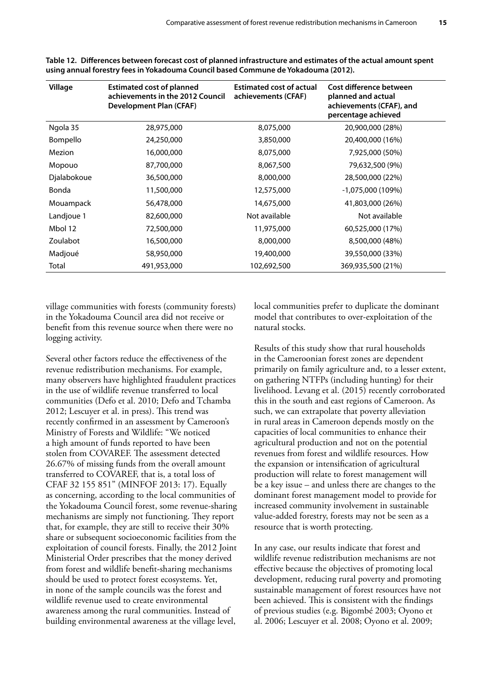| Village     | <b>Estimated cost of planned</b><br>achievements in the 2012 Council<br><b>Development Plan (CFAF)</b> | <b>Estimated cost of actual</b><br>achievements (CFAF) | Cost difference between<br>planned and actual<br>achievements (CFAF), and<br>percentage achieved |
|-------------|--------------------------------------------------------------------------------------------------------|--------------------------------------------------------|--------------------------------------------------------------------------------------------------|
| Ngola 35    | 28,975,000                                                                                             | 8,075,000                                              | 20,900,000 (28%)                                                                                 |
| Bompello    | 24,250,000                                                                                             | 3,850,000                                              | 20,400,000 (16%)                                                                                 |
| Mezion      | 16,000,000                                                                                             | 8,075,000                                              | 7,925,000 (50%)                                                                                  |
| Mopouo      | 87,700,000                                                                                             | 8,067,500                                              | 79,632,500 (9%)                                                                                  |
| Djalabokoue | 36,500,000                                                                                             | 8,000,000                                              | 28,500,000 (22%)                                                                                 |
| Bonda       | 11,500,000                                                                                             | 12,575,000                                             | $-1,075,000(109%)$                                                                               |
| Mouampack   | 56,478,000                                                                                             | 14,675,000                                             | 41,803,000 (26%)                                                                                 |
| Landjoue 1  | 82,600,000                                                                                             | Not available                                          | Not available                                                                                    |
| Mbol 12     | 72,500,000                                                                                             | 11,975,000                                             | 60,525,000 (17%)                                                                                 |
| Zoulabot    | 16,500,000                                                                                             | 8,000,000                                              | 8,500,000 (48%)                                                                                  |
| Madjoué     | 58,950,000                                                                                             | 19,400,000                                             | 39,550,000 (33%)                                                                                 |
| Total       | 491,953,000                                                                                            | 102,692,500                                            | 369,935,500 (21%)                                                                                |

**Table 12. Differences between forecast cost of planned infrastructure and estimates of the actual amount spent using annual forestry fees in Yokadouma Council based Commune de Yokadouma (2012).**

village communities with forests (community forests) in the Yokadouma Council area did not receive or benefit from this revenue source when there were no logging activity.

Several other factors reduce the effectiveness of the revenue redistribution mechanisms. For example, many observers have highlighted fraudulent practices in the use of wildlife revenue transferred to local communities (Defo et al. 2010; Defo and Tchamba 2012; Lescuyer et al. in press). This trend was recently confirmed in an assessment by Cameroon's Ministry of Forests and Wildlife: "We noticed a high amount of funds reported to have been stolen from COVAREF. The assessment detected 26.67% of missing funds from the overall amount transferred to COVAREF, that is, a total loss of CFAF 32 155 851" (MINFOF 2013: 17). Equally as concerning, according to the local communities of the Yokadouma Council forest, some revenue-sharing mechanisms are simply not functioning. They report that, for example, they are still to receive their 30% share or subsequent socioeconomic facilities from the exploitation of council forests. Finally, the 2012 Joint Ministerial Order prescribes that the money derived from forest and wildlife benefit-sharing mechanisms should be used to protect forest ecosystems. Yet, in none of the sample councils was the forest and wildlife revenue used to create environmental awareness among the rural communities. Instead of building environmental awareness at the village level,

local communities prefer to duplicate the dominant model that contributes to over-exploitation of the natural stocks.

Results of this study show that rural households in the Cameroonian forest zones are dependent primarily on family agriculture and, to a lesser extent, on gathering NTFPs (including hunting) for their livelihood. Levang et al. (2015) recently corroborated this in the south and east regions of Cameroon. As such, we can extrapolate that poverty alleviation in rural areas in Cameroon depends mostly on the capacities of local communities to enhance their agricultural production and not on the potential revenues from forest and wildlife resources. How the expansion or intensification of agricultural production will relate to forest management will be a key issue – and unless there are changes to the dominant forest management model to provide for increased community involvement in sustainable value-added forestry, forests may not be seen as a resource that is worth protecting.

In any case, our results indicate that forest and wildlife revenue redistribution mechanisms are not effective because the objectives of promoting local development, reducing rural poverty and promoting sustainable management of forest resources have not been achieved. This is consistent with the findings of previous studies (e.g. Bigombé 2003; Oyono et al. 2006; Lescuyer et al. 2008; Oyono et al. 2009;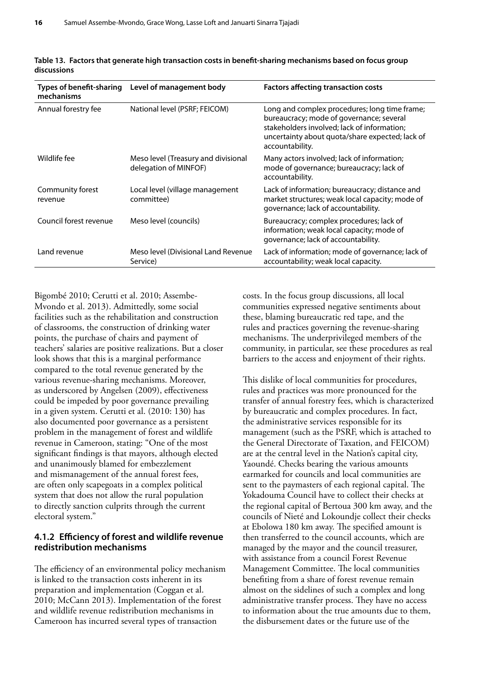| <b>Types of benefit-sharing</b><br>mechanisms | Level of management body                                     | <b>Factors affecting transaction costs</b>                                                                                                                                                                     |
|-----------------------------------------------|--------------------------------------------------------------|----------------------------------------------------------------------------------------------------------------------------------------------------------------------------------------------------------------|
| Annual forestry fee                           | National level (PSRF; FEICOM)                                | Long and complex procedures; long time frame;<br>bureaucracy; mode of governance; several<br>stakeholders involved; lack of information;<br>uncertainty about quota/share expected; lack of<br>accountability. |
| Wildlife fee                                  | Meso level (Treasury and divisional<br>delegation of MINFOF) | Many actors involved; lack of information;<br>mode of governance; bureaucracy; lack of<br>accountability.                                                                                                      |
| Community forest<br>revenue                   | Local level (village management<br>committee)                | Lack of information; bureaucracy; distance and<br>market structures; weak local capacity; mode of<br>governance; lack of accountability.                                                                       |
| Council forest revenue                        | Meso level (councils)                                        | Bureaucracy; complex procedures; lack of<br>information; weak local capacity; mode of<br>governance; lack of accountability.                                                                                   |
| Land revenue                                  | Meso level (Divisional Land Revenue<br>Service)              | Lack of information; mode of governance; lack of<br>accountability; weak local capacity.                                                                                                                       |

**Table 13. Factors that generate high transaction costs in benefit-sharing mechanisms based on focus group discussions**

Bigombé 2010; Cerutti et al. 2010; Assembe-Mvondo et al. 2013). Admittedly, some social facilities such as the rehabilitation and construction of classrooms, the construction of drinking water points, the purchase of chairs and payment of teachers' salaries are positive realizations. But a closer look shows that this is a marginal performance compared to the total revenue generated by the various revenue-sharing mechanisms. Moreover, as underscored by Angelsen (2009), effectiveness could be impeded by poor governance prevailing in a given system. Cerutti et al. (2010: 130) has also documented poor governance as a persistent problem in the management of forest and wildlife revenue in Cameroon, stating: "One of the most significant findings is that mayors, although elected and unanimously blamed for embezzlement and mismanagement of the annual forest fees, are often only scapegoats in a complex political system that does not allow the rural population to directly sanction culprits through the current electoral system."

### **4.1.2 Efficiency of forest and wildlife revenue redistribution mechanisms**

The efficiency of an environmental policy mechanism is linked to the transaction costs inherent in its preparation and implementation (Coggan et al. 2010; McCann 2013). Implementation of the forest and wildlife revenue redistribution mechanisms in Cameroon has incurred several types of transaction

costs. In the focus group discussions, all local communities expressed negative sentiments about these, blaming bureaucratic red tape, and the rules and practices governing the revenue-sharing mechanisms. The underprivileged members of the community, in particular, see these procedures as real barriers to the access and enjoyment of their rights.

This dislike of local communities for procedures, rules and practices was more pronounced for the transfer of annual forestry fees, which is characterized by bureaucratic and complex procedures. In fact, the administrative services responsible for its management (such as the PSRF, which is attached to the General Directorate of Taxation, and FEICOM) are at the central level in the Nation's capital city, Yaoundé. Checks bearing the various amounts earmarked for councils and local communities are sent to the paymasters of each regional capital. The Yokadouma Council have to collect their checks at the regional capital of Bertoua 300 km away, and the councils of Nieté and Lokoundje collect their checks at Ebolowa 180 km away. The specified amount is then transferred to the council accounts, which are managed by the mayor and the council treasurer, with assistance from a council Forest Revenue Management Committee. The local communities benefiting from a share of forest revenue remain almost on the sidelines of such a complex and long administrative transfer process. They have no access to information about the true amounts due to them, the disbursement dates or the future use of the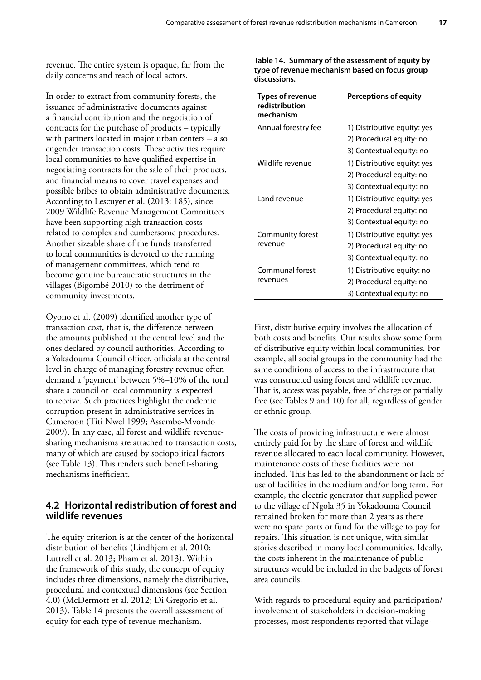revenue. The entire system is opaque, far from the daily concerns and reach of local actors.

In order to extract from community forests, the issuance of administrative documents against a financial contribution and the negotiation of contracts for the purchase of products – typically with partners located in major urban centers – also engender transaction costs. These activities require local communities to have qualified expertise in negotiating contracts for the sale of their products, and financial means to cover travel expenses and possible bribes to obtain administrative documents. According to Lescuyer et al. (2013: 185), since 2009 Wildlife Revenue Management Committees have been supporting high transaction costs related to complex and cumbersome procedures. Another sizeable share of the funds transferred to local communities is devoted to the running of management committees, which tend to become genuine bureaucratic structures in the villages (Bigombé 2010) to the detriment of community investments.

Oyono et al. (2009) identified another type of transaction cost, that is, the difference between the amounts published at the central level and the ones declared by council authorities. According to a Yokadouma Council officer, officials at the central level in charge of managing forestry revenue often demand a 'payment' between 5%–10% of the total share a council or local community is expected to receive. Such practices highlight the endemic corruption present in administrative services in Cameroon (Titi Nwel 1999; Assembe-Mvondo 2009). In any case, all forest and wildlife revenuesharing mechanisms are attached to transaction costs, many of which are caused by sociopolitical factors (see Table 13). This renders such benefit-sharing mechanisms inefficient.

### **4.2 Horizontal redistribution of forest and wildlife revenues**

The equity criterion is at the center of the horizontal distribution of benefits (Lindhjem et al. 2010; Luttrell et al. 2013; Pham et al. 2013). Within the framework of this study, the concept of equity includes three dimensions, namely the distributive, procedural and contextual dimensions (see Section 4.0) (McDermott et al. 2012; Di Gregorio et al. 2013). Table 14 presents the overall assessment of equity for each type of revenue mechanism.

**Table 14. Summary of the assessment of equity by type of revenue mechanism based on focus group discussions.**

| <b>Types of revenue</b><br>redistribution<br>mechanism | <b>Perceptions of equity</b> |
|--------------------------------------------------------|------------------------------|
| Annual forestry fee                                    | 1) Distributive equity: yes  |
|                                                        | 2) Procedural equity: no     |
|                                                        | 3) Contextual equity: no     |
| Wildlife revenue                                       | 1) Distributive equity: yes  |
|                                                        | 2) Procedural equity: no     |
|                                                        | 3) Contextual equity: no     |
| I and revenue                                          | 1) Distributive equity: yes  |
|                                                        | 2) Procedural equity: no     |
|                                                        | 3) Contextual equity: no     |
| Community forest                                       | 1) Distributive equity: yes  |
| revenue                                                | 2) Procedural equity: no     |
|                                                        | 3) Contextual equity: no     |
| Communal forest                                        | 1) Distributive equity: no   |
| revenues                                               | 2) Procedural equity: no     |
|                                                        | 3) Contextual equity: no     |

First, distributive equity involves the allocation of both costs and benefits. Our results show some form of distributive equity within local communities. For example, all social groups in the community had the same conditions of access to the infrastructure that was constructed using forest and wildlife revenue. That is, access was payable, free of charge or partially free (see Tables 9 and 10) for all, regardless of gender or ethnic group.

The costs of providing infrastructure were almost entirely paid for by the share of forest and wildlife revenue allocated to each local community. However, maintenance costs of these facilities were not included. This has led to the abandonment or lack of use of facilities in the medium and/or long term. For example, the electric generator that supplied power to the village of Ngola 35 in Yokadouma Council remained broken for more than 2 years as there were no spare parts or fund for the village to pay for repairs. This situation is not unique, with similar stories described in many local communities. Ideally, the costs inherent in the maintenance of public structures would be included in the budgets of forest area councils.

With regards to procedural equity and participation/ involvement of stakeholders in decision-making processes, most respondents reported that village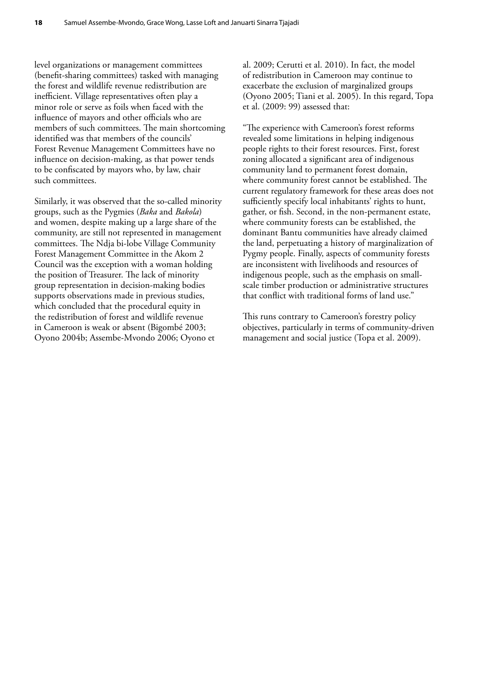level organizations or management committees (benefit-sharing committees) tasked with managing the forest and wildlife revenue redistribution are inefficient. Village representatives often play a minor role or serve as foils when faced with the influence of mayors and other officials who are members of such committees. The main shortcoming identified was that members of the councils' Forest Revenue Management Committees have no influence on decision-making, as that power tends to be confiscated by mayors who, by law, chair such committees.

Similarly, it was observed that the so-called minority groups, such as the Pygmies (*Baka* and *Bakola*) and women, despite making up a large share of the community, are still not represented in management committees. The Ndja bi-lobe Village Community Forest Management Committee in the Akom 2 Council was the exception with a woman holding the position of Treasurer. The lack of minority group representation in decision-making bodies supports observations made in previous studies, which concluded that the procedural equity in the redistribution of forest and wildlife revenue in Cameroon is weak or absent (Bigombé 2003; Oyono 2004b; Assembe-Mvondo 2006; Oyono et

al. 2009; Cerutti et al. 2010). In fact, the model of redistribution in Cameroon may continue to exacerbate the exclusion of marginalized groups (Oyono 2005; Tiani et al. 2005). In this regard, Topa et al. (2009: 99) assessed that:

"The experience with Cameroon's forest reforms revealed some limitations in helping indigenous people rights to their forest resources. First, forest zoning allocated a significant area of indigenous community land to permanent forest domain, where community forest cannot be established. The current regulatory framework for these areas does not sufficiently specify local inhabitants' rights to hunt, gather, or fish. Second, in the non-permanent estate, where community forests can be established, the dominant Bantu communities have already claimed the land, perpetuating a history of marginalization of Pygmy people. Finally, aspects of community forests are inconsistent with livelihoods and resources of indigenous people, such as the emphasis on smallscale timber production or administrative structures that conflict with traditional forms of land use."

This runs contrary to Cameroon's forestry policy objectives, particularly in terms of community-driven management and social justice (Topa et al. 2009).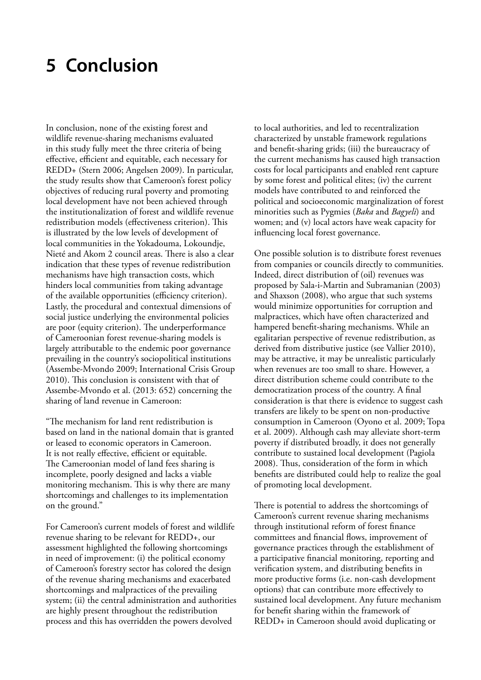### **5 Conclusion**

In conclusion, none of the existing forest and wildlife revenue-sharing mechanisms evaluated in this study fully meet the three criteria of being effective, efficient and equitable, each necessary for REDD+ (Stern 2006; Angelsen 2009). In particular, the study results show that Cameroon's forest policy objectives of reducing rural poverty and promoting local development have not been achieved through the institutionalization of forest and wildlife revenue redistribution models (effectiveness criterion). This is illustrated by the low levels of development of local communities in the Yokadouma, Lokoundje, Nieté and Akom 2 council areas. There is also a clear indication that these types of revenue redistribution mechanisms have high transaction costs, which hinders local communities from taking advantage of the available opportunities (efficiency criterion). Lastly, the procedural and contextual dimensions of social justice underlying the environmental policies are poor (equity criterion). The underperformance of Cameroonian forest revenue-sharing models is largely attributable to the endemic poor governance prevailing in the country's sociopolitical institutions (Assembe-Mvondo 2009; International Crisis Group 2010). This conclusion is consistent with that of Assembe-Mvondo et al. (2013: 652) concerning the sharing of land revenue in Cameroon:

"The mechanism for land rent redistribution is based on land in the national domain that is granted or leased to economic operators in Cameroon. It is not really effective, efficient or equitable. The Cameroonian model of land fees sharing is incomplete, poorly designed and lacks a viable monitoring mechanism. This is why there are many shortcomings and challenges to its implementation on the ground."

For Cameroon's current models of forest and wildlife revenue sharing to be relevant for REDD+, our assessment highlighted the following shortcomings in need of improvement: (i) the political economy of Cameroon's forestry sector has colored the design of the revenue sharing mechanisms and exacerbated shortcomings and malpractices of the prevailing system; (ii) the central administration and authorities are highly present throughout the redistribution process and this has overridden the powers devolved

to local authorities, and led to recentralization characterized by unstable framework regulations and benefit-sharing grids; (iii) the bureaucracy of the current mechanisms has caused high transaction costs for local participants and enabled rent capture by some forest and political elites; (iv) the current models have contributed to and reinforced the political and socioeconomic marginalization of forest minorities such as Pygmies (*Baka* and *Bagyeli*) and women; and (v) local actors have weak capacity for influencing local forest governance.

One possible solution is to distribute forest revenues from companies or councils directly to communities. Indeed, direct distribution of (oil) revenues was proposed by Sala-i-Martin and Subramanian (2003) and Shaxson (2008), who argue that such systems would minimize opportunities for corruption and malpractices, which have often characterized and hampered benefit-sharing mechanisms. While an egalitarian perspective of revenue redistribution, as derived from distributive justice (see Vallier 2010), may be attractive, it may be unrealistic particularly when revenues are too small to share. However, a direct distribution scheme could contribute to the democratization process of the country. A final consideration is that there is evidence to suggest cash transfers are likely to be spent on non-productive consumption in Cameroon (Oyono et al. 2009; Topa et al. 2009). Although cash may alleviate short-term poverty if distributed broadly, it does not generally contribute to sustained local development (Pagiola 2008). Thus, consideration of the form in which benefits are distributed could help to realize the goal of promoting local development.

There is potential to address the shortcomings of Cameroon's current revenue sharing mechanisms through institutional reform of forest finance committees and financial flows, improvement of governance practices through the establishment of a participative financial monitoring, reporting and verification system, and distributing benefits in more productive forms (i.e. non-cash development options) that can contribute more effectively to sustained local development. Any future mechanism for benefit sharing within the framework of REDD+ in Cameroon should avoid duplicating or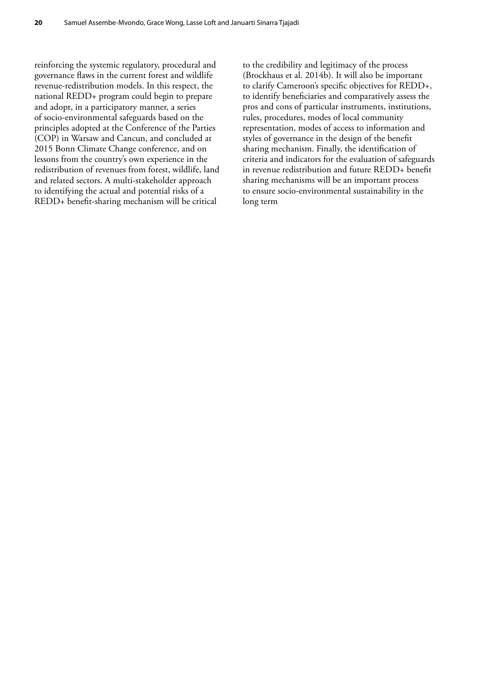reinforcing the systemic regulatory, procedural and governance flaws in the current forest and wildlife revenue-redistribution models. In this respect, the national REDD+ program could begin to prepare and adopt, in a participatory manner, a series of socio-environmental safeguards based on the principles adopted at the Conference of the Parties (COP) in Warsaw and Cancun, and concluded at 2015 Bonn Climate Change conference, and on lessons from the country's own experience in the redistribution of revenues from forest, wildlife, land and related sectors. A multi-stakeholder approach to identifying the actual and potential risks of a REDD+ benefit-sharing mechanism will be critical

to the credibility and legitimacy of the process (Brockhaus et al. 2014b). It will also be important to clarify Cameroon's specific objectives for REDD+, to identify beneficiaries and comparatively assess the pros and cons of particular instruments, institutions, rules, procedures, modes of local community representation, modes of access to information and styles of governance in the design of the benefit sharing mechanism. Finally, the identification of criteria and indicators for the evaluation of safeguards in revenue redistribution and future REDD+ benefit sharing mechanisms will be an important process to ensure socio-environmental sustainability in the long term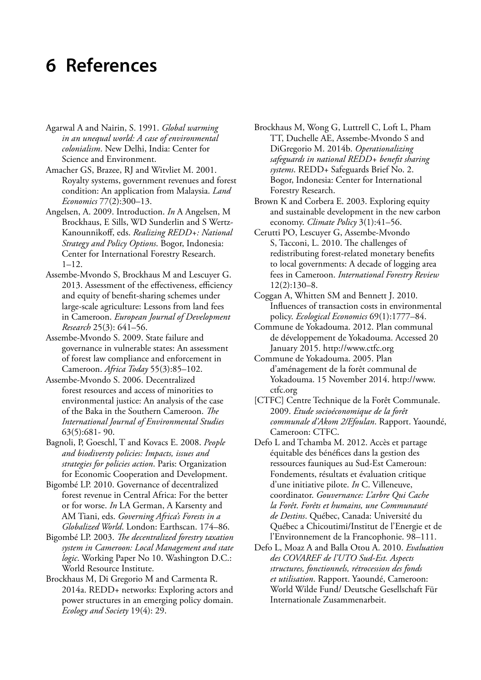# **6 References**

- Agarwal A and Nairin, S. 1991. *Global warming in an unequal world: A case of environmental colonialism*. New Delhi, India: Center for Science and Environment.
- Amacher GS, Brazee, RJ and Witvliet M. 2001. Royalty systems, government revenues and forest condition: An application from Malaysia. *Land Economics* 77(2):300–13.
- Angelsen, A. 2009. Introduction. *In* A Angelsen, M Brockhaus, E Sills, WD Sunderlin and S Wertz-Kanounnikoff, eds. *Realizing REDD+: National Strategy and Policy Options*. Bogor, Indonesia: Center for International Forestry Research.  $1 - 12$ .
- Assembe-Mvondo S, Brockhaus M and Lescuyer G. 2013. Assessment of the effectiveness, efficiency and equity of benefit-sharing schemes under large-scale agriculture: Lessons from land fees in Cameroon. *European Journal of Development Research* 25(3): 641–56.
- Assembe-Mvondo S. 2009. State failure and governance in vulnerable states: An assessment of forest law compliance and enforcement in Cameroon. *Africa Today* 55(3):85–102.
- Assembe-Mvondo S. 2006. Decentralized forest resources and access of minorities to environmental justice: An analysis of the case of the Baka in the Southern Cameroon. *The International Journal of Environmental Studies* 63(5):681- 90.
- Bagnoli, P, Goeschl, T and Kovacs E. 2008. *People and biodiversty policies: Impacts, issues and strategies for policies action*. Paris: Organization for Economic Cooperation and Development.
- Bigombé LP. 2010. Governance of decentralized forest revenue in Central Africa: For the better or for worse. *In* LA German, A Karsenty and AM Tiani, eds. *Governing Africa's Forests in a Globalized World*. London: Earthscan. 174–86.
- Bigombé LP. 2003. *The decentralized forestry taxation system in Cameroon: Local Management and state logic*. Working Paper No 10. Washington D.C.: World Resource Institute.
- Brockhaus M, Di Gregorio M and Carmenta R. 2014a. REDD+ networks: Exploring actors and power structures in an emerging policy domain. *Ecology and Society* 19(4): 29.
- Brockhaus M, Wong G, Luttrell C, Loft L, Pham TT, Duchelle AE, Assembe-Mvondo S and DiGregorio M. 2014b. *Operationalizing safeguards in national REDD+ benefit sharing systems*. REDD+ Safeguards Brief No. 2. Bogor, Indonesia: Center for International Forestry Research.
- Brown K and Corbera E. 2003. Exploring equity and sustainable development in the new carbon economy. *Climate Policy* 3(1):41–56.
- Cerutti PO, Lescuyer G, Assembe-Mvondo S, Tacconi, L. 2010. The challenges of redistributing forest-related monetary benefits to local governments: A decade of logging area fees in Cameroon. *International Forestry Review* 12(2):130–8.
- Coggan A, Whitten SM and Bennett J. 2010. Influences of transaction costs in environmental policy. *Ecological Economics* 69(1):1777–84.
- Commune de Yokadouma. 2012. Plan communal de développement de Yokadouma. Accessed 20 January 2015. http://www.ctfc.org
- Commune de Yokadouma. 2005. Plan d'aménagement de la forêt communal de Yokadouma. 15 November 2014. http://www. ctfc.org
- [CTFC] Centre Technique de la Forêt Communale. 2009. *Etude socioéconomique de la forêt communale d'Akom 2/Efoulan*. Rapport. Yaoundé, Cameroon: CTFC.
- Defo L and Tchamba M. 2012. Accès et partage équitable des bénéfices dans la gestion des ressources fauniques au Sud-Est Cameroun: Fondements, résultats et évaluation critique d'une initiative pilote. *In* C. Villeneuve, coordinator. *Gouvernance: L'arbre Qui Cache la Forêt*. *Forêts et humains, une Communauté de Destins*. Québec, Canada: Université du Québec a Chicoutimi/Institut de l'Energie et de l'Environnement de la Francophonie. 98–111.
- Defo L, Moaz A and Balla Otou A. 2010. *Evaluation des COVAREF de l'UTO Sud-Est. Aspects structures, fonctionnels, rétrocession des fonds et utilisation*. Rapport. Yaoundé, Cameroon: World Wilde Fund/ Deutsche Gesellschaft Für Internationale Zusammenarbeit.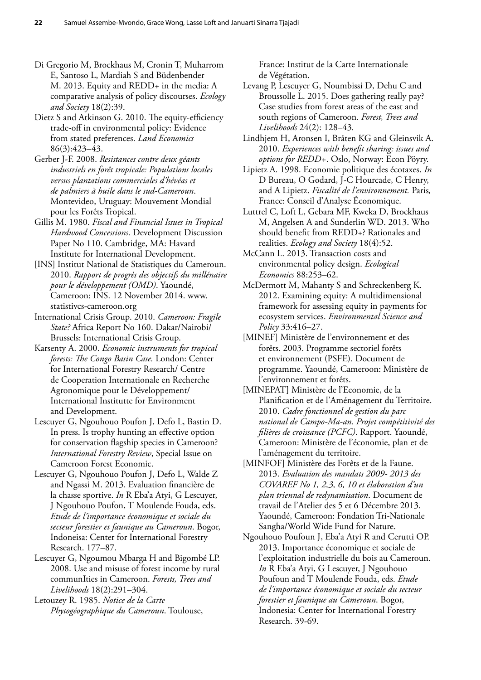- Di Gregorio M, Brockhaus M, Cronin T, Muharrom E, Santoso L, Mardiah S and Büdenbender M. 2013. Equity and REDD+ in the media: A comparative analysis of policy discourses. *Ecology and Society* 18(2):39.
- Dietz S and Atkinson G. 2010. The equity-efficiency trade-off in environmental policy: Evidence from stated preferences. *Land Economics* 86(3):423–43.
- Gerber J-F. 2008. *Resistances contre deux géants industriels en forêt tropicale: Populations locales versus plantations commerciales d'hévéas et de palmiers à huile dans le sud-Cameroun*. Montevideo, Uruguay: Mouvement Mondial pour les Forêts Tropical.
- Gillis M. 1980. *Fiscal and Financial Issues in Tropical Hardwood Concessions*. Development Discussion Paper No 110. Cambridge, MA: Havard Institute for International Development.
- [INS] Institut National de Statistiques du Cameroun. 2010. *Rapport de progrès des objectifs du millénaire pour le développement (OMD)*. Yaoundé, Cameroon: INS. 12 November 2014. www. statistivcs-cameroon.org
- International Crisis Group. 2010. *Cameroon: Fragile State?* Africa Report No 160. Dakar/Nairobi/ Brussels: International Crisis Group.
- Karsenty A. 2000. *Economic instruments for tropical forests: The Congo Basin Case.* London: Center for International Forestry Research/ Centre de Cooperation Internationale en Recherche Agronomique pour le Développement/ International Institutte for Environment and Development.
- Lescuyer G, Ngouhouo Poufon J, Defo L, Bastin D. In press. Is trophy hunting an effective option for conservation flagship species in Cameroon? *International Forestry Review*, Special Issue on Cameroon Forest Economic.
- Lescuyer G, Ngouhouo Poufon J, Defo L, Walde Z and Ngassi M. 2013. Evaluation financière de la chasse sportive. *In* R Eba'a Atyi, G Lescuyer, J Ngouhouo Poufon, T Moulende Fouda, eds. *Etude de l'importance économique et sociale du secteur forestier et faunique au Cameroun*. Bogor, Indoneisa: Center for International Forestry Research. 177–87.
- Lescuyer G, Ngoumou Mbarga H and Bigombé LP. 2008. Use and misuse of forest income by rural communIties in Cameroon. *Forests, Trees and Livelihoods* 18(2):291–304.

Letouzey R. 1985. *Notice de la Carte Phytogéographique du Cameroun*. Toulouse, France: Institut de la Carte Internationale de Végétation.

- Levang P, Lescuyer G, Noumbissi D, Dehu C and Broussolle L. 2015. Does gathering really pay? Case studies from forest areas of the east and south regions of Cameroon. *Forest, Trees and Livelihoods* 24(2): 128–43*.*
- Lindhjem H, Aronsen I, Bråten KG and Gleinsvik A. 2010. *Experiences with benefit sharing: issues and options for REDD+*. Oslo, Norway: Econ Pöyry.
- Lipietz A. 1998. Economie politique des écotaxes. *In* D Bureau, O Godard, J-C Hourcade, C Henry, and A Lipietz. *Fiscalité de l'environnement.* Paris*,* France: Conseil d'Analyse Économique.
- Luttrel C, Loft L, Gebara MF, Kweka D, Brockhaus M, Angelsen A and Sunderlin WD. 2013. Who should benefit from REDD+? Rationales and realities. *Ecology and Society* 18(4):52.
- McCann L. 2013. Transaction costs and environmental policy design. *Ecological Economics* 88:253–62.
- McDermott M, Mahanty S and Schreckenberg K. 2012. Examining equity: A multidimensional framework for assessing equity in payments for ecosystem services. *Environmental Science and Policy* 33:416–27.
- [MINEF] Ministère de l'environnement et des forêts. 2003. Programme sectoriel forêts et environnement (PSFE). Document de programme. Yaoundé, Cameroon: Ministère de l'environnement et forêts.
- [MINEPAT] Ministère de l'Economie, de la Planification et de l'Aménagement du Territoire. 2010. *Cadre fonctionnel de gestion du parc national de Campo-Ma-an. Projet compétitivité des filières de croissance (PCFC)*. Rapport. Yaoundé, Cameroon: Ministère de l'économie, plan et de l'aménagement du territoire.
- [MINFOF] Ministère des Forêts et de la Faune. 2013. *Evaluation des mandats 2009- 2013 des COVAREF No 1, 2,3, 6, 10 et élaboration d'un plan triennal de redynamisation*. Document de travail de l'Atelier des 5 et 6 Décembre 2013. Yaoundé, Cameroon: Fondation Tri-Nationale Sangha/World Wide Fund for Nature.
- Ngouhouo Poufoun J, Eba'a Atyi R and Cerutti OP. 2013. Importance économique et sociale de l'exploitation industrielle du bois au Cameroun. *In* R Eba'a Atyi, G Lescuyer, J Ngouhouo Poufoun and T Moulende Fouda, eds. *Etude de l'importance économique et sociale du secteur forestier et faunique au Cameroun*. Bogor, Indonesia: Center for International Forestry Research. 39-69.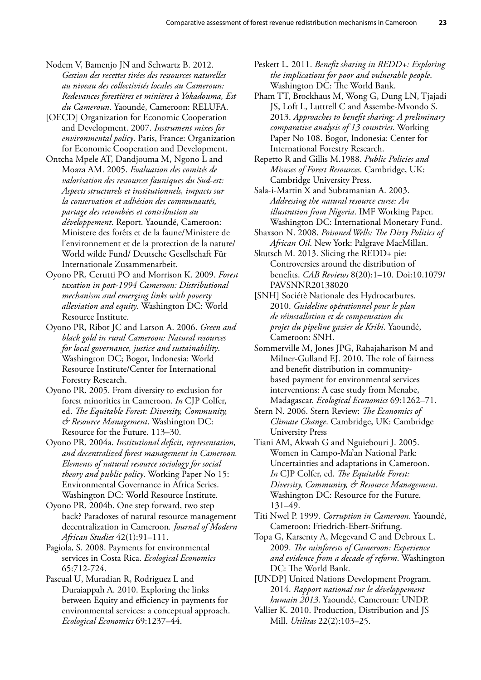- Nodem V, Bamenjo JN and Schwartz B. 2012. *Gestion des recettes tirées des ressources naturelles au niveau des collectivités locales au Cameroun: Redevances forestières et minières à Yokadouma, Est du Cameroun*. Yaoundé, Cameroon: RELUFA.
- [OECD] Organization for Economic Cooperation and Development. 2007. *Instrument mixes for environmental policy*. Paris, France: Organization for Economic Cooperation and Development.
- Ontcha Mpele AT, Dandjouma M, Ngono L and Moaza AM. 2005. *Evaluation des comités de valorisation des ressources fauniques du Sud-est: Aspects structurels et institutionnels, impacts sur la conservation et adhésion des communautés, partage des retombées et contribution au développement*. Report. Yaoundé, Cameroon: Ministere des forêts et de la faune/Ministere de l'environnement et de la protection de la nature/ World wilde Fund/ Deutsche Gesellschaft Für Internationale Zusammenarbeit.
- Oyono PR, Cerutti PO and Morrison K. 2009. *Forest taxation in post-1994 Cameroon: Distributional mechanism and emerging links with poverty alleviation and equity*. Washington DC: World Resource Institute.
- Oyono PR, Ribot JC and Larson A. 2006. *Green and black gold in rural Cameroon: Natural resources for local governance, justice and sustainability*. Washington DC; Bogor, Indonesia: World Resource Institute/Center for International Forestry Research.
- Oyono PR. 2005. From diversity to exclusion for forest minorities in Cameroon. *In* CJP Colfer, ed. *The Equitable Forest: Diversity, Community, & Resource Management*. Washington DC: Resource for the Future. 113–30.
- Oyono PR. 2004a. *Institutional deficit, representation, and decentralized forest management in Cameroon. Elements of natural resource sociology for social theory and public policy*. Working Paper No 15: Environmental Governance in Africa Series. Washington DC: World Resource Institute.
- Oyono PR. 2004b. One step forward, two step back? Paradoxes of natural resource management decentralization in Cameroon*. Journal of Modern African Studies* 42(1):91–111.
- Pagiola, S. 2008. Payments for environmental services in Costa Rica. *Ecological Economics* 65:712-724.
- Pascual U, Muradian R, Rodriguez L and Duraiappah A. 2010. Exploring the links between Equity and efficiency in payments for environmental services: a conceptual approach. *Ecological Economics* 69:1237–44.
- Peskett L. 2011. *Benefit sharing in REDD+: Exploring the implications for poor and vulnerable people*. Washington DC: The World Bank.
- Pham TT, Brockhaus M, Wong G, Dung LN, Tjajadi JS, Loft L, Luttrell C and Assembe-Mvondo S. 2013. *Approaches to benefit sharing: A preliminary comparative analysis of 13 countries*. Working Paper No 108. Bogor, Indonesia: Center for International Forestry Research.
- Repetto R and Gillis M.1988. *Public Policies and Misuses of Forest Resources*. Cambridge, UK: Cambridge University Press.
- Sala-i-Martin X and Subramanian A. 2003. *Addressing the natural resource curse: An illustration from Nigeria*. IMF Working Paper. Washington DC: International Monetary Fund.
- Shaxson N. 2008. *Poisoned Wells: The Dirty Politics of African Oil*. New York: Palgrave MacMillan.
- Skutsch M. 2013. Slicing the REDD+ pie: Controversies around the distribution of benefits. *CAB Reviews* 8(20):1–10. Doi:10.1079/ PAVSNNR20138020
- [SNH] Sociétè Nationale des Hydrocarbures. 2010. *Guideline opérationnel pour le plan de réinstallation et de compensation du projet du pipeline gazier de Kribi*. Yaoundé, Cameroon: SNH.
- Sommerville M, Jones JPG, Rahajaharison M and Milner-Gulland EJ. 2010. The role of fairness and benefit distribution in communitybased payment for environmental services interventions: A case study from Menabe, Madagascar. *Ecological Economics* 69:1262–71.
- Stern N. 2006. Stern Review: *The Economics of Climate Change*. Cambridge, UK: Cambridge University Press
- Tiani AM, Akwah G and Nguiebouri J. 2005. Women in Campo-Ma'an National Park: Uncertainties and adaptations in Cameroon. *In* CJP Colfer, ed. *The Equitable Forest: Diversity, Community, & Resource Management*. Washington DC: Resource for the Future. 131–49.
- Titi Nwel P. 1999. *Corruption in Cameroon*. Yaoundé, Cameroon: Friedrich-Ebert-Stiftung.
- Topa G, Karsenty A, Megevand C and Debroux L. 2009. *The rainforests of Cameroon: Experience and evidence from a decade of reform*. Washington DC: The World Bank.
- [UNDP] United Nations Development Program. 2014. *Rapport national sur le développement humain 2013*. Yaoundé, Cameroun: UNDP.
- Vallier K. 2010. Production, Distribution and JS Mill. *Utilitas* 22(2):103–25.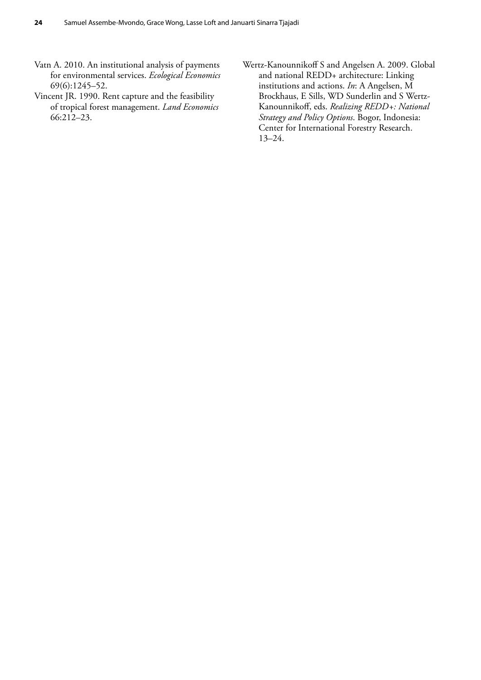- Vatn A. 2010. An institutional analysis of payments for environmental services. *Ecological Economics* 69(6):1245–52.
- Vincent JR. 1990. Rent capture and the feasibility of tropical forest management. *Land Economics* 66:212–23.
- Wertz-Kanounnikoff S and Angelsen A. 2009. Global and national REDD+ architecture: Linking institutions and actions. *In*: A Angelsen, M Brockhaus, E Sills, WD Sunderlin and S Wertz-Kanounnikoff, eds. *Realizing REDD+: National Strategy and Policy Options*. Bogor, Indonesia: Center for International Forestry Research. 13–24.